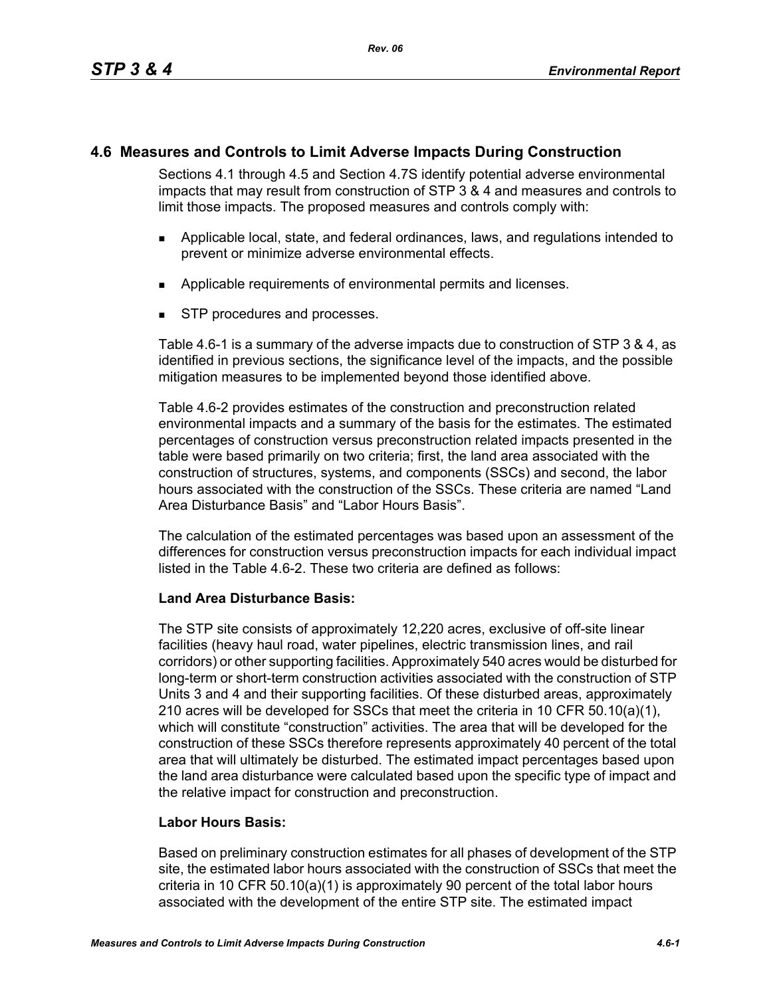# **4.6 Measures and Controls to Limit Adverse Impacts During Construction**

Sections 4.1 through 4.5 and Section 4.7S identify potential adverse environmental impacts that may result from construction of STP 3 & 4 and measures and controls to limit those impacts. The proposed measures and controls comply with:

- Applicable local, state, and federal ordinances, laws, and regulations intended to prevent or minimize adverse environmental effects.
- **Applicable requirements of environmental permits and licenses.**
- STP procedures and processes.

Table 4.6-1 is a summary of the adverse impacts due to construction of STP 3 & 4, as identified in previous sections, the significance level of the impacts, and the possible mitigation measures to be implemented beyond those identified above.

Table 4.6-2 provides estimates of the construction and preconstruction related environmental impacts and a summary of the basis for the estimates. The estimated percentages of construction versus preconstruction related impacts presented in the table were based primarily on two criteria; first, the land area associated with the construction of structures, systems, and components (SSCs) and second, the labor hours associated with the construction of the SSCs. These criteria are named "Land Area Disturbance Basis" and "Labor Hours Basis".

The calculation of the estimated percentages was based upon an assessment of the differences for construction versus preconstruction impacts for each individual impact listed in the Table 4.6-2. These two criteria are defined as follows:

## **Land Area Disturbance Basis:**

The STP site consists of approximately 12,220 acres, exclusive of off-site linear facilities (heavy haul road, water pipelines, electric transmission lines, and rail corridors) or other supporting facilities. Approximately 540 acres would be disturbed for long-term or short-term construction activities associated with the construction of STP Units 3 and 4 and their supporting facilities. Of these disturbed areas, approximately 210 acres will be developed for SSCs that meet the criteria in 10 CFR 50.10(a)(1), which will constitute "construction" activities. The area that will be developed for the construction of these SSCs therefore represents approximately 40 percent of the total area that will ultimately be disturbed. The estimated impact percentages based upon the land area disturbance were calculated based upon the specific type of impact and the relative impact for construction and preconstruction.

## **Labor Hours Basis:**

Based on preliminary construction estimates for all phases of development of the STP site, the estimated labor hours associated with the construction of SSCs that meet the criteria in 10 CFR 50.10(a)(1) is approximately 90 percent of the total labor hours associated with the development of the entire STP site. The estimated impact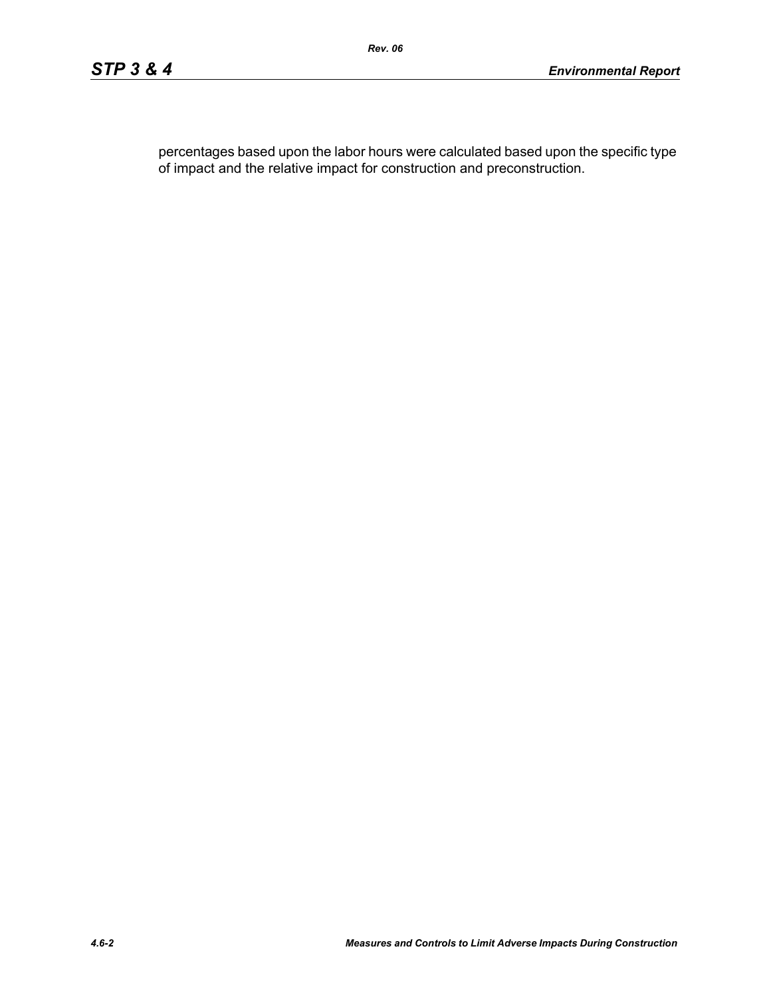percentages based upon the labor hours were calculated based upon the specific type of impact and the relative impact for construction and preconstruction.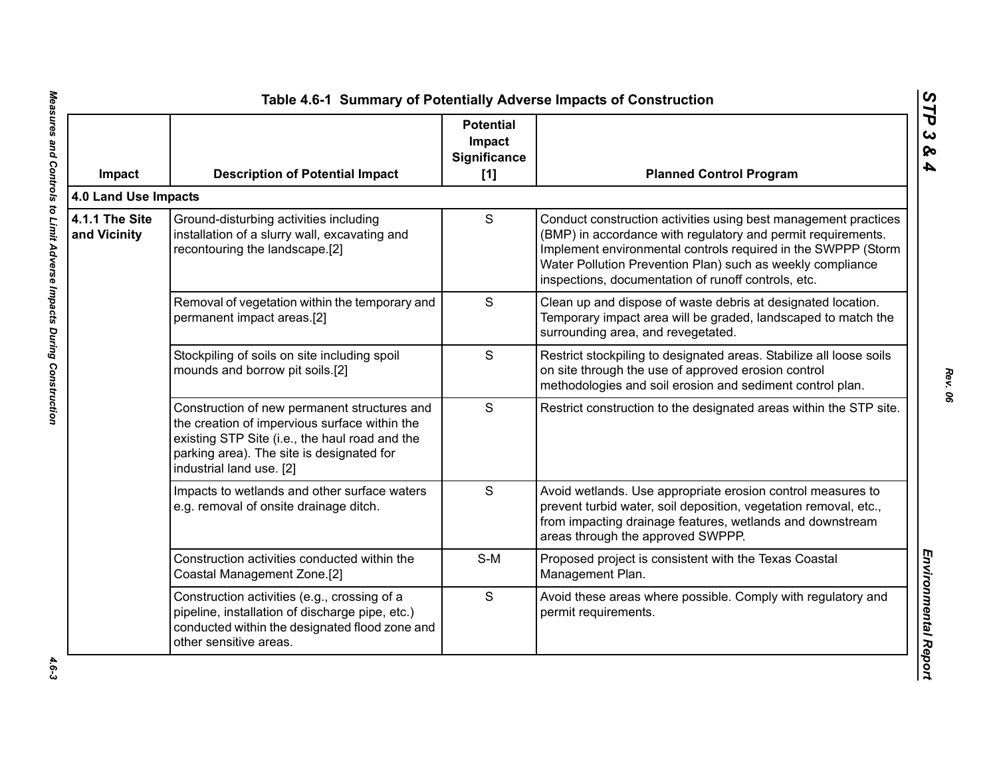| Impact                         | <b>Description of Potential Impact</b>                                                                                                                                                                                   | <b>Potential</b><br>Impact<br>Significance<br>$[1]$ | <b>Planned Control Program</b>                                                                                                                                                                                                                                                                                        |
|--------------------------------|--------------------------------------------------------------------------------------------------------------------------------------------------------------------------------------------------------------------------|-----------------------------------------------------|-----------------------------------------------------------------------------------------------------------------------------------------------------------------------------------------------------------------------------------------------------------------------------------------------------------------------|
| 4.0 Land Use Impacts           |                                                                                                                                                                                                                          |                                                     |                                                                                                                                                                                                                                                                                                                       |
| 4.1.1 The Site<br>and Vicinity | Ground-disturbing activities including<br>installation of a slurry wall, excavating and<br>recontouring the landscape.[2]                                                                                                | S                                                   | Conduct construction activities using best management practices<br>(BMP) in accordance with regulatory and permit requirements.<br>Implement environmental controls required in the SWPPP (Storm<br>Water Pollution Prevention Plan) such as weekly compliance<br>inspections, documentation of runoff controls, etc. |
|                                | Removal of vegetation within the temporary and<br>permanent impact areas.[2]                                                                                                                                             | S                                                   | Clean up and dispose of waste debris at designated location.<br>Temporary impact area will be graded, landscaped to match the<br>surrounding area, and revegetated.                                                                                                                                                   |
|                                | Stockpiling of soils on site including spoil<br>mounds and borrow pit soils.[2]                                                                                                                                          | S                                                   | Restrict stockpiling to designated areas. Stabilize all loose soils<br>on site through the use of approved erosion control<br>methodologies and soil erosion and sediment control plan.                                                                                                                               |
|                                | Construction of new permanent structures and<br>the creation of impervious surface within the<br>existing STP Site (i.e., the haul road and the<br>parking area). The site is designated for<br>industrial land use. [2] | S                                                   | Restrict construction to the designated areas within the STP site.                                                                                                                                                                                                                                                    |
|                                | Impacts to wetlands and other surface waters<br>e.g. removal of onsite drainage ditch.                                                                                                                                   | S                                                   | Avoid wetlands. Use appropriate erosion control measures to<br>prevent turbid water, soil deposition, vegetation removal, etc.,<br>from impacting drainage features, wetlands and downstream<br>areas through the approved SWPPP.                                                                                     |
|                                | Construction activities conducted within the<br>Coastal Management Zone.[2]                                                                                                                                              | $S-M$                                               | Proposed project is consistent with the Texas Coastal<br>Management Plan.                                                                                                                                                                                                                                             |
|                                | Construction activities (e.g., crossing of a<br>pipeline, installation of discharge pipe, etc.)<br>conducted within the designated flood zone and<br>other sensitive areas.                                              | S                                                   | Avoid these areas where possible. Comply with regulatory and<br>permit requirements.                                                                                                                                                                                                                                  |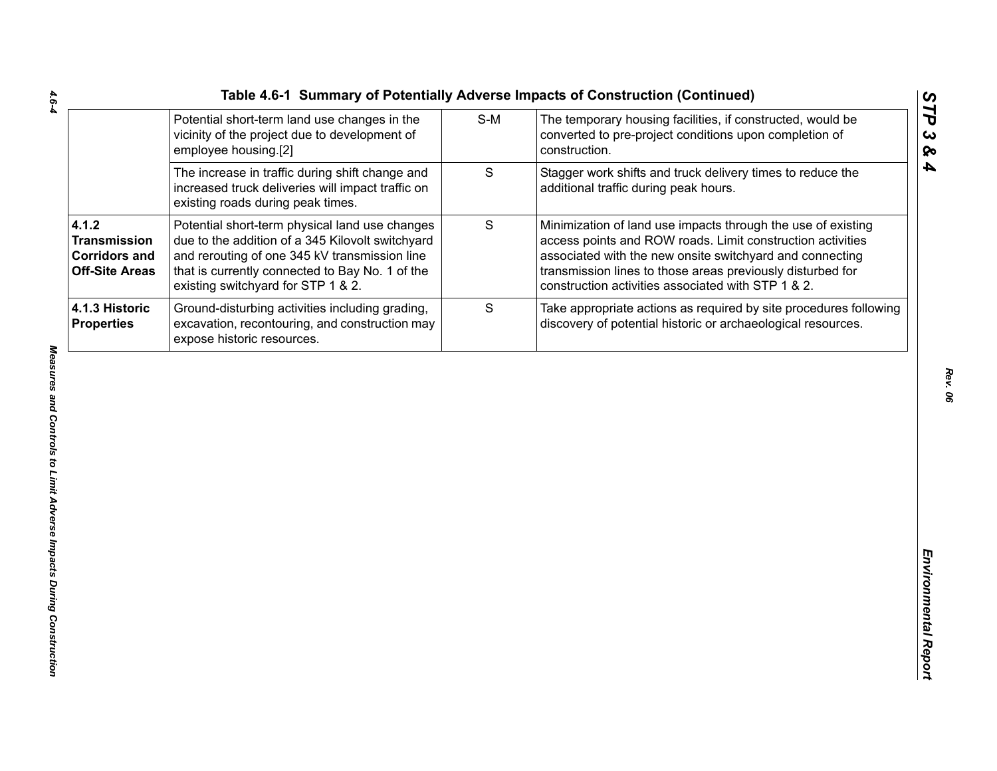| Table 4.6-1 Summary of Potentially Adverse Impacts of Construction (Continued) |     |                                                     |
|--------------------------------------------------------------------------------|-----|-----------------------------------------------------|
| Potential short-term land use changes in the                                   | S-M | The temporary housing facilities, if constructed, v |
| vicinity of the project due to development of                                  |     | converted to pre-project conditions upon comple     |

|                                                                               |                                                                                                                                                                                                                                              |             | Table 4.6-1 Summary of Potentially Adverse Impacts of Construction (Continued)                                                                                                                                                                                                                             |
|-------------------------------------------------------------------------------|----------------------------------------------------------------------------------------------------------------------------------------------------------------------------------------------------------------------------------------------|-------------|------------------------------------------------------------------------------------------------------------------------------------------------------------------------------------------------------------------------------------------------------------------------------------------------------------|
|                                                                               | Potential short-term land use changes in the<br>vicinity of the project due to development of<br>employee housing.[2]                                                                                                                        | $S-M$       | The temporary housing facilities, if constructed, would be<br>converted to pre-project conditions upon completion of<br>construction.                                                                                                                                                                      |
|                                                                               | The increase in traffic during shift change and<br>increased truck deliveries will impact traffic on<br>existing roads during peak times.                                                                                                    | S           | Stagger work shifts and truck delivery times to reduce the<br>additional traffic during peak hours.                                                                                                                                                                                                        |
| 4.1.2<br><b>Transmission</b><br><b>Corridors and</b><br><b>Off-Site Areas</b> | Potential short-term physical land use changes<br>due to the addition of a 345 Kilovolt switchyard<br>and rerouting of one 345 kV transmission line<br>that is currently connected to Bay No. 1 of the<br>existing switchyard for STP 1 & 2. | $\mathsf S$ | Minimization of land use impacts through the use of existing<br>access points and ROW roads. Limit construction activities<br>associated with the new onsite switchyard and connecting<br>transmission lines to those areas previously disturbed for<br>construction activities associated with STP 1 & 2. |
| 4.1.3 Historic<br><b>Properties</b>                                           | Ground-disturbing activities including grading,<br>excavation, recontouring, and construction may<br>expose historic resources.                                                                                                              | S           | Take appropriate actions as required by site procedures following<br>discovery of potential historic or archaeological resources.                                                                                                                                                                          |
|                                                                               |                                                                                                                                                                                                                                              |             |                                                                                                                                                                                                                                                                                                            |
|                                                                               |                                                                                                                                                                                                                                              |             |                                                                                                                                                                                                                                                                                                            |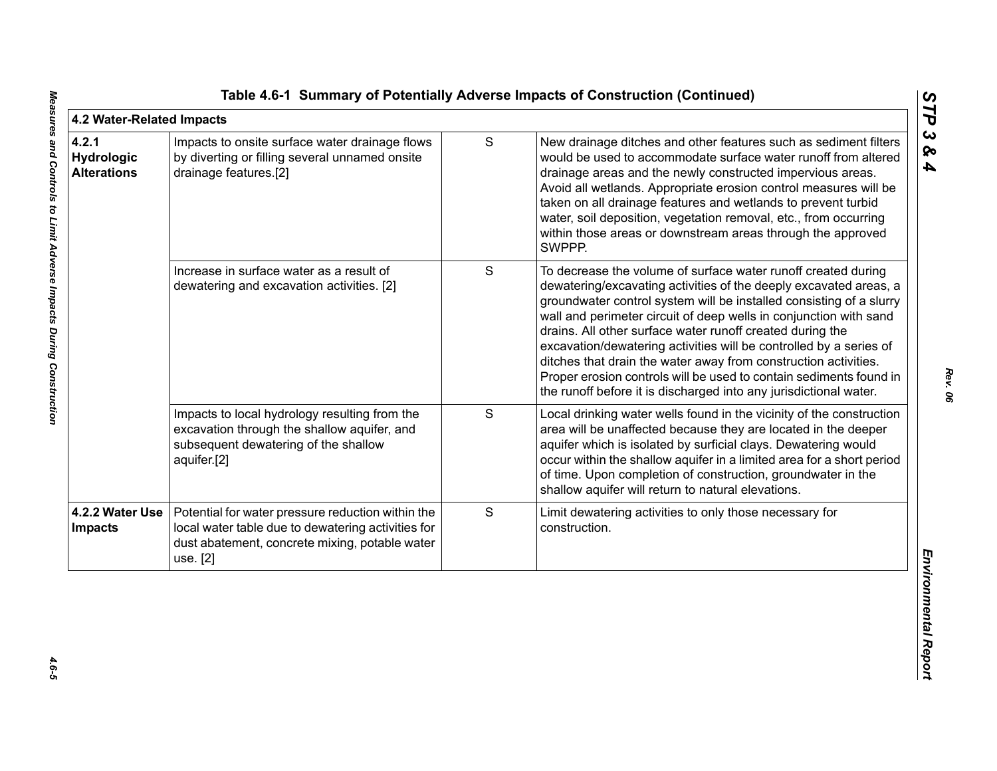| 4.2 Water-Related Impacts                        |                                                                                                                                                                       |   |                                                                                                                                                                                                                                                                                                                                                                                                                                                                                                                                                                                                                                 | ĽP                                |
|--------------------------------------------------|-----------------------------------------------------------------------------------------------------------------------------------------------------------------------|---|---------------------------------------------------------------------------------------------------------------------------------------------------------------------------------------------------------------------------------------------------------------------------------------------------------------------------------------------------------------------------------------------------------------------------------------------------------------------------------------------------------------------------------------------------------------------------------------------------------------------------------|-----------------------------------|
| 4.2.1<br><b>Hydrologic</b><br><b>Alterations</b> | Impacts to onsite surface water drainage flows<br>by diverting or filling several unnamed onsite<br>drainage features.[2]                                             | S | New drainage ditches and other features such as sediment filters<br>would be used to accommodate surface water runoff from altered<br>drainage areas and the newly constructed impervious areas.<br>Avoid all wetlands. Appropriate erosion control measures will be<br>taken on all drainage features and wetlands to prevent turbid<br>water, soil deposition, vegetation removal, etc., from occurring<br>within those areas or downstream areas through the approved<br>SWPPP.                                                                                                                                              | $\boldsymbol{\omega}$<br>ନ୍ତ<br>4 |
|                                                  | Increase in surface water as a result of<br>dewatering and excavation activities. [2]                                                                                 | S | To decrease the volume of surface water runoff created during<br>dewatering/excavating activities of the deeply excavated areas, a<br>groundwater control system will be installed consisting of a slurry<br>wall and perimeter circuit of deep wells in conjunction with sand<br>drains. All other surface water runoff created during the<br>excavation/dewatering activities will be controlled by a series of<br>ditches that drain the water away from construction activities.<br>Proper erosion controls will be used to contain sediments found in<br>the runoff before it is discharged into any jurisdictional water. |                                   |
|                                                  | Impacts to local hydrology resulting from the<br>excavation through the shallow aquifer, and<br>subsequent dewatering of the shallow<br>aquifer.[2]                   | S | Local drinking water wells found in the vicinity of the construction<br>area will be unaffected because they are located in the deeper<br>aquifer which is isolated by surficial clays. Dewatering would<br>occur within the shallow aquifer in a limited area for a short period<br>of time. Upon completion of construction, groundwater in the<br>shallow aquifer will return to natural elevations.                                                                                                                                                                                                                         |                                   |
| 4.2.2 Water Use<br><b>Impacts</b>                | Potential for water pressure reduction within the<br>local water table due to dewatering activities for<br>dust abatement, concrete mixing, potable water<br>use. [2] | S | Limit dewatering activities to only those necessary for<br>construction.                                                                                                                                                                                                                                                                                                                                                                                                                                                                                                                                                        |                                   |
|                                                  |                                                                                                                                                                       |   |                                                                                                                                                                                                                                                                                                                                                                                                                                                                                                                                                                                                                                 | Environmental Repor               |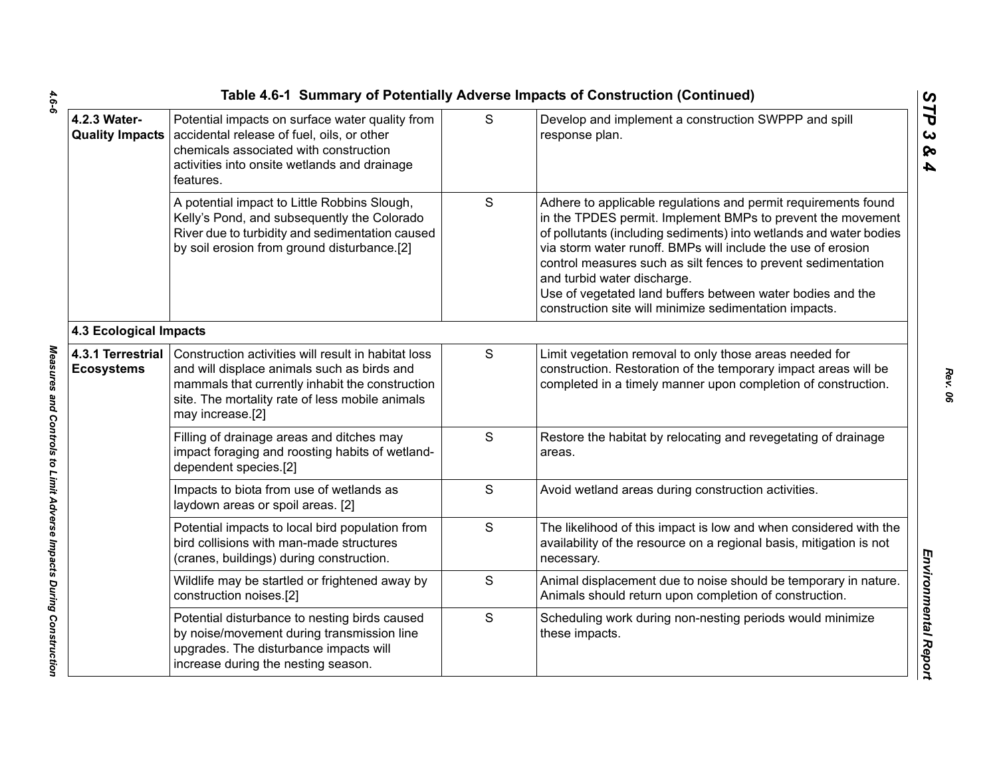|                                        |                                                                                                                                                                                                                              |   | Table 4.6-1 Summary of Potentially Adverse Impacts of Construction (Continued)                                                                                                                                                                                                                                                                                                                                                                                                              |
|----------------------------------------|------------------------------------------------------------------------------------------------------------------------------------------------------------------------------------------------------------------------------|---|---------------------------------------------------------------------------------------------------------------------------------------------------------------------------------------------------------------------------------------------------------------------------------------------------------------------------------------------------------------------------------------------------------------------------------------------------------------------------------------------|
| 4.2.3 Water-                           | Potential impacts on surface water quality from<br>Quality Impacts   accidental release of fuel, oils, or other<br>chemicals associated with construction<br>activities into onsite wetlands and drainage<br>features.       | S | Develop and implement a construction SWPPP and spill<br>response plan.                                                                                                                                                                                                                                                                                                                                                                                                                      |
|                                        | A potential impact to Little Robbins Slough,<br>Kelly's Pond, and subsequently the Colorado<br>River due to turbidity and sedimentation caused<br>by soil erosion from ground disturbance.[2]                                | S | Adhere to applicable regulations and permit requirements found<br>in the TPDES permit. Implement BMPs to prevent the movement<br>of pollutants (including sediments) into wetlands and water bodies<br>via storm water runoff. BMPs will include the use of erosion<br>control measures such as silt fences to prevent sedimentation<br>and turbid water discharge.<br>Use of vegetated land buffers between water bodies and the<br>construction site will minimize sedimentation impacts. |
| <b>4.3 Ecological Impacts</b>          |                                                                                                                                                                                                                              |   |                                                                                                                                                                                                                                                                                                                                                                                                                                                                                             |
| 4.3.1 Terrestrial<br><b>Ecosystems</b> | Construction activities will result in habitat loss<br>and will displace animals such as birds and<br>mammals that currently inhabit the construction<br>site. The mortality rate of less mobile animals<br>may increase.[2] | S | Limit vegetation removal to only those areas needed for<br>construction. Restoration of the temporary impact areas will be<br>completed in a timely manner upon completion of construction.                                                                                                                                                                                                                                                                                                 |
|                                        | Filling of drainage areas and ditches may<br>impact foraging and roosting habits of wetland-<br>dependent species.[2]                                                                                                        | S | Restore the habitat by relocating and revegetating of drainage<br>areas.                                                                                                                                                                                                                                                                                                                                                                                                                    |
|                                        | Impacts to biota from use of wetlands as<br>laydown areas or spoil areas. [2]                                                                                                                                                | S | Avoid wetland areas during construction activities.                                                                                                                                                                                                                                                                                                                                                                                                                                         |
|                                        | Potential impacts to local bird population from<br>bird collisions with man-made structures<br>(cranes, buildings) during construction.                                                                                      | S | The likelihood of this impact is low and when considered with the<br>availability of the resource on a regional basis, mitigation is not<br>necessary.                                                                                                                                                                                                                                                                                                                                      |
|                                        | Wildlife may be startled or frightened away by<br>construction noises.[2]                                                                                                                                                    | S | Animal displacement due to noise should be temporary in nature.<br>Animals should return upon completion of construction.                                                                                                                                                                                                                                                                                                                                                                   |
|                                        | Potential disturbance to nesting birds caused<br>by noise/movement during transmission line<br>upgrades. The disturbance impacts will<br>increase during the nesting season.                                                 | S | Scheduling work during non-nesting periods would minimize<br>these impacts.                                                                                                                                                                                                                                                                                                                                                                                                                 |
|                                        |                                                                                                                                                                                                                              |   |                                                                                                                                                                                                                                                                                                                                                                                                                                                                                             |

 $4.6 - 6$ *4.6-6 Measures and Controls to Limit Adverse Impacts During Construction* 

Measures and Controls to Limit Adverse Impacts During Construction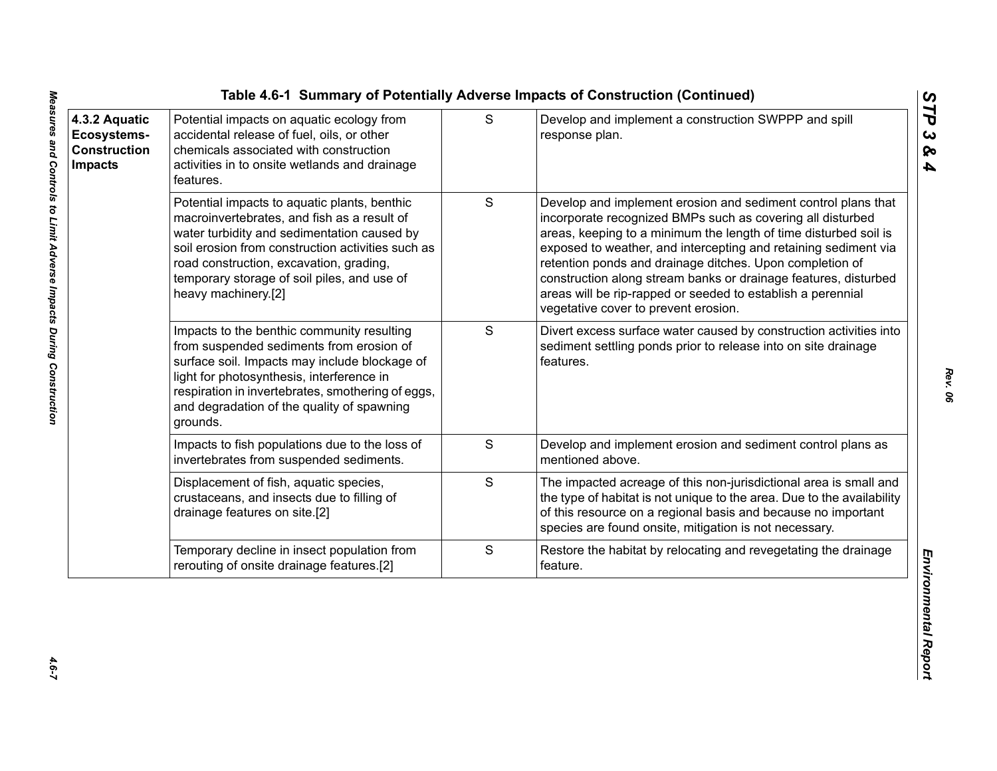| 4.3.2 Aquatic<br>Ecosystems-<br><b>Construction</b><br><b>Impacts</b> | Potential impacts on aquatic ecology from<br>accidental release of fuel, oils, or other<br>chemicals associated with construction<br>activities in to onsite wetlands and drainage<br>features.                                                                                                                  | S             | Develop and implement a construction SWPPP and spill<br>response plan.                                                                                                                                                                                                                                                                                                                                                                                                                                   |
|-----------------------------------------------------------------------|------------------------------------------------------------------------------------------------------------------------------------------------------------------------------------------------------------------------------------------------------------------------------------------------------------------|---------------|----------------------------------------------------------------------------------------------------------------------------------------------------------------------------------------------------------------------------------------------------------------------------------------------------------------------------------------------------------------------------------------------------------------------------------------------------------------------------------------------------------|
|                                                                       | Potential impacts to aquatic plants, benthic<br>macroinvertebrates, and fish as a result of<br>water turbidity and sedimentation caused by<br>soil erosion from construction activities such as<br>road construction, excavation, grading,<br>temporary storage of soil piles, and use of<br>heavy machinery.[2] | ${\mathsf S}$ | Develop and implement erosion and sediment control plans that<br>incorporate recognized BMPs such as covering all disturbed<br>areas, keeping to a minimum the length of time disturbed soil is<br>exposed to weather, and intercepting and retaining sediment via<br>retention ponds and drainage ditches. Upon completion of<br>construction along stream banks or drainage features, disturbed<br>areas will be rip-rapped or seeded to establish a perennial<br>vegetative cover to prevent erosion. |
|                                                                       | Impacts to the benthic community resulting<br>from suspended sediments from erosion of<br>surface soil. Impacts may include blockage of<br>light for photosynthesis, interference in<br>respiration in invertebrates, smothering of eggs,<br>and degradation of the quality of spawning<br>grounds.              | S             | Divert excess surface water caused by construction activities into<br>sediment settling ponds prior to release into on site drainage<br>features.                                                                                                                                                                                                                                                                                                                                                        |
|                                                                       | Impacts to fish populations due to the loss of<br>invertebrates from suspended sediments.                                                                                                                                                                                                                        | S             | Develop and implement erosion and sediment control plans as<br>mentioned above.                                                                                                                                                                                                                                                                                                                                                                                                                          |
|                                                                       | Displacement of fish, aquatic species,<br>crustaceans, and insects due to filling of<br>drainage features on site.[2]                                                                                                                                                                                            | S             | The impacted acreage of this non-jurisdictional area is small and<br>the type of habitat is not unique to the area. Due to the availability<br>of this resource on a regional basis and because no important<br>species are found onsite, mitigation is not necessary.                                                                                                                                                                                                                                   |
|                                                                       | Temporary decline in insect population from<br>rerouting of onsite drainage features.[2]                                                                                                                                                                                                                         | $\mathbf S$   | Restore the habitat by relocating and revegetating the drainage<br>feature.                                                                                                                                                                                                                                                                                                                                                                                                                              |

*STP 3 & 4*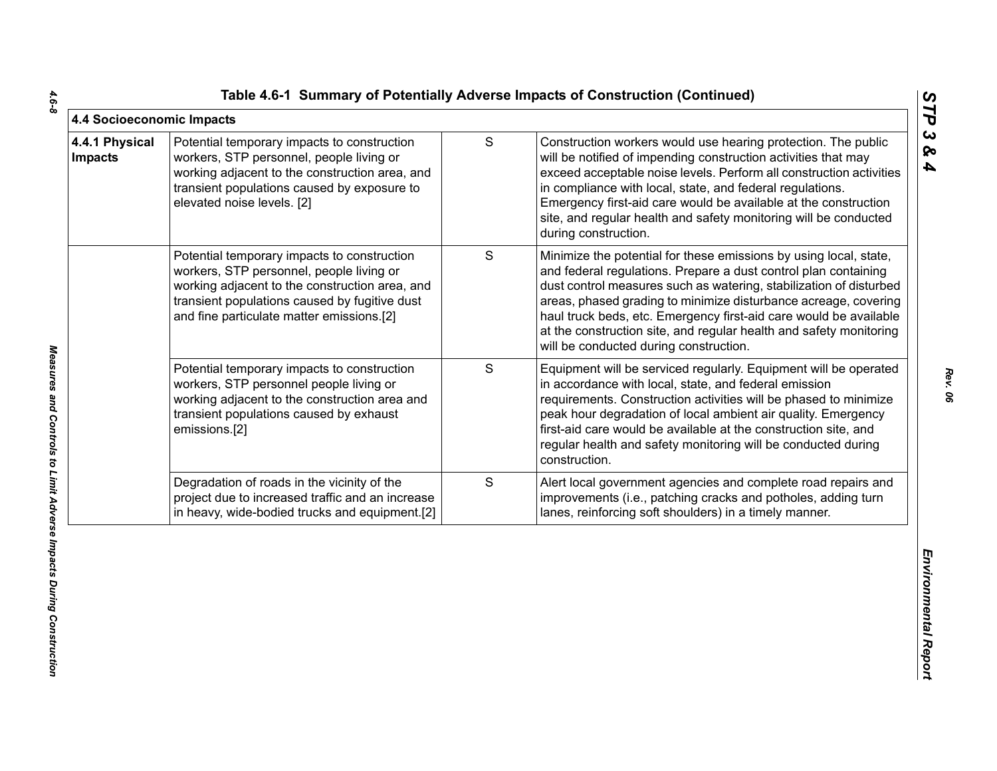|  |  | Table 4.6-1 Summary of Potentially Adverse Impacts of Construction (Continued) |  |  |  |  |
|--|--|--------------------------------------------------------------------------------|--|--|--|--|
|--|--|--------------------------------------------------------------------------------|--|--|--|--|

| 4.4 Socioeconomic Impacts        |                                                                                                                                                                                                                                         |               |                                                                                                                                                                                                                                                                                                                                                                                                                                                                    | STP                                            |
|----------------------------------|-----------------------------------------------------------------------------------------------------------------------------------------------------------------------------------------------------------------------------------------|---------------|--------------------------------------------------------------------------------------------------------------------------------------------------------------------------------------------------------------------------------------------------------------------------------------------------------------------------------------------------------------------------------------------------------------------------------------------------------------------|------------------------------------------------|
| 4.4.1 Physical<br><b>Impacts</b> | Potential temporary impacts to construction<br>workers, STP personnel, people living or<br>working adjacent to the construction area, and<br>transient populations caused by exposure to<br>elevated noise levels. [2]                  | ${\mathsf S}$ | Construction workers would use hearing protection. The public<br>will be notified of impending construction activities that may<br>exceed acceptable noise levels. Perform all construction activities<br>in compliance with local, state, and federal regulations.<br>Emergency first-aid care would be available at the construction<br>site, and regular health and safety monitoring will be conducted<br>during construction.                                 | $\boldsymbol{\omega}$<br>ବ<br>$\blacktriangle$ |
|                                  | Potential temporary impacts to construction<br>workers, STP personnel, people living or<br>working adjacent to the construction area, and<br>transient populations caused by fugitive dust<br>and fine particulate matter emissions.[2] | S             | Minimize the potential for these emissions by using local, state,<br>and federal regulations. Prepare a dust control plan containing<br>dust control measures such as watering, stabilization of disturbed<br>areas, phased grading to minimize disturbance acreage, covering<br>haul truck beds, etc. Emergency first-aid care would be available<br>at the construction site, and regular health and safety monitoring<br>will be conducted during construction. |                                                |
|                                  | Potential temporary impacts to construction<br>workers, STP personnel people living or<br>working adjacent to the construction area and<br>transient populations caused by exhaust<br>emissions.[2]                                     | S             | Equipment will be serviced regularly. Equipment will be operated<br>in accordance with local, state, and federal emission<br>requirements. Construction activities will be phased to minimize<br>peak hour degradation of local ambient air quality. Emergency<br>first-aid care would be available at the construction site, and<br>regular health and safety monitoring will be conducted during<br>construction.                                                |                                                |
|                                  | Degradation of roads in the vicinity of the<br>project due to increased traffic and an increase<br>in heavy, wide-bodied trucks and equipment.[2]                                                                                       | S             | Alert local government agencies and complete road repairs and<br>improvements (i.e., patching cracks and potholes, adding turn<br>lanes, reinforcing soft shoulders) in a timely manner.                                                                                                                                                                                                                                                                           |                                                |
|                                  |                                                                                                                                                                                                                                         |               |                                                                                                                                                                                                                                                                                                                                                                                                                                                                    | Environmental Report                           |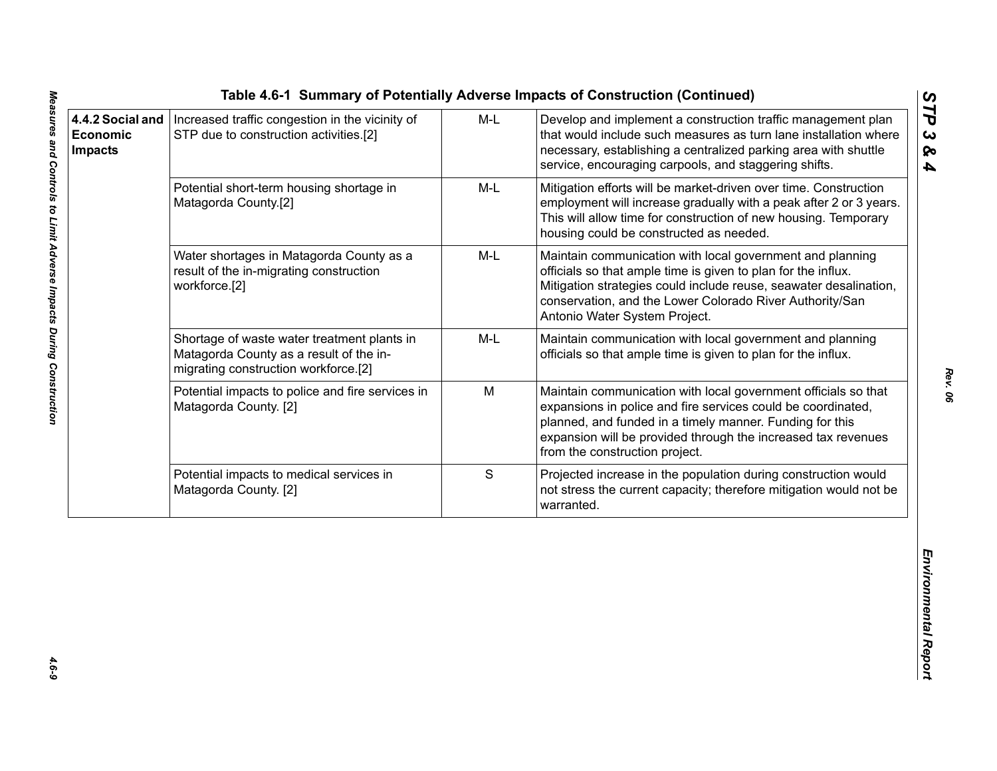|                                                |                                                                                                                                |       | Table 4.6-1 Summary of Potentially Adverse Impacts of Construction (Continued)                                                                                                                                                                                                                |                                          |
|------------------------------------------------|--------------------------------------------------------------------------------------------------------------------------------|-------|-----------------------------------------------------------------------------------------------------------------------------------------------------------------------------------------------------------------------------------------------------------------------------------------------|------------------------------------------|
| 4.4.2 Social and<br>Economic<br><b>Impacts</b> | Increased traffic congestion in the vicinity of<br>STP due to construction activities.[2]                                      | $M-L$ | Develop and implement a construction traffic management plan<br>that would include such measures as turn lane installation where<br>necessary, establishing a centralized parking area with shuttle<br>service, encouraging carpools, and staggering shifts.                                  | STP<br>$\boldsymbol{\omega}$<br>ନ୍ତ<br>4 |
|                                                | Potential short-term housing shortage in<br>Matagorda County.[2]                                                               | M-L   | Mitigation efforts will be market-driven over time. Construction<br>employment will increase gradually with a peak after 2 or 3 years.<br>This will allow time for construction of new housing. Temporary<br>housing could be constructed as needed.                                          |                                          |
|                                                | Water shortages in Matagorda County as a<br>result of the in-migrating construction<br>workforce.[2]                           | M-L   | Maintain communication with local government and planning<br>officials so that ample time is given to plan for the influx.<br>Mitigation strategies could include reuse, seawater desalination,<br>conservation, and the Lower Colorado River Authority/San<br>Antonio Water System Project.  |                                          |
|                                                | Shortage of waste water treatment plants in<br>Matagorda County as a result of the in-<br>migrating construction workforce.[2] | M-L   | Maintain communication with local government and planning<br>officials so that ample time is given to plan for the influx.                                                                                                                                                                    |                                          |
|                                                | Potential impacts to police and fire services in<br>Matagorda County. [2]                                                      | M     | Maintain communication with local government officials so that<br>expansions in police and fire services could be coordinated,<br>planned, and funded in a timely manner. Funding for this<br>expansion will be provided through the increased tax revenues<br>from the construction project. |                                          |
|                                                | Potential impacts to medical services in<br>Matagorda County. [2]                                                              | S     | Projected increase in the population during construction would<br>not stress the current capacity; therefore mitigation would not be<br>warranted.                                                                                                                                            |                                          |
|                                                |                                                                                                                                |       |                                                                                                                                                                                                                                                                                               | Environmental Report                     |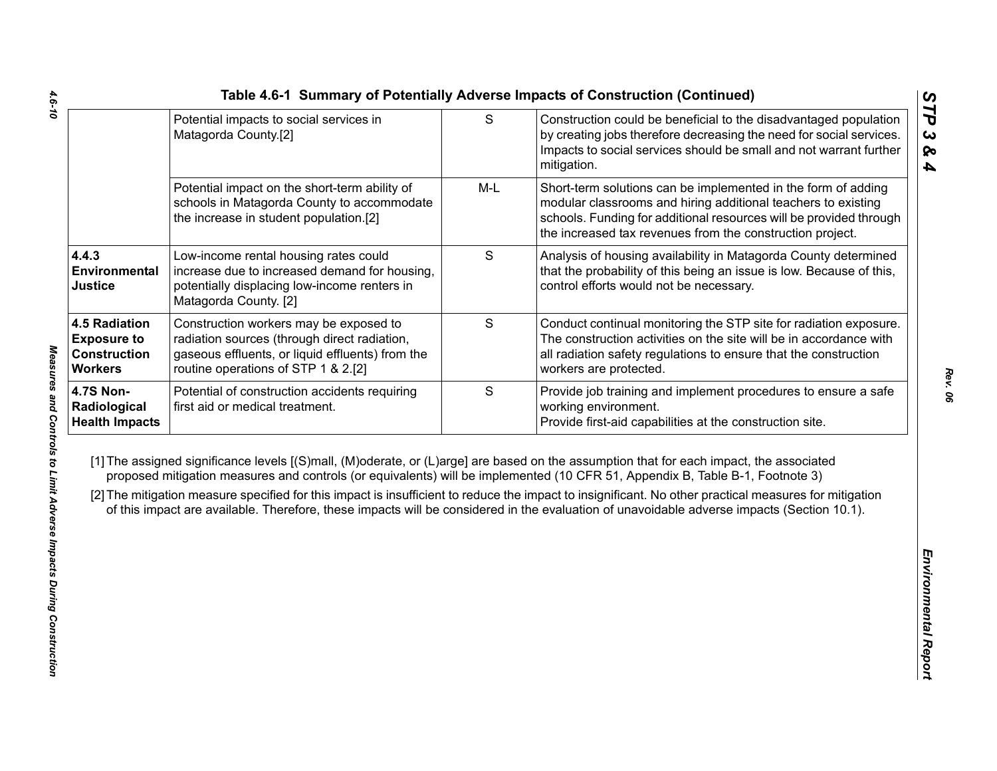|                                                                                     | Potential impacts to social services in<br>Matagorda County.[2]                                                                                                                   | $\mathsf{S}$ | Construction could be beneficial to the disadvantaged population<br>by creating jobs therefore decreasing the need for social services.<br>Impacts to social services should be small and not warrant further<br>mitigation.                                                                                                                                                                                                                                                                                                                                                     |
|-------------------------------------------------------------------------------------|-----------------------------------------------------------------------------------------------------------------------------------------------------------------------------------|--------------|----------------------------------------------------------------------------------------------------------------------------------------------------------------------------------------------------------------------------------------------------------------------------------------------------------------------------------------------------------------------------------------------------------------------------------------------------------------------------------------------------------------------------------------------------------------------------------|
|                                                                                     | Potential impact on the short-term ability of<br>schools in Matagorda County to accommodate<br>the increase in student population.[2]                                             | $M-L$        | Short-term solutions can be implemented in the form of adding<br>modular classrooms and hiring additional teachers to existing<br>schools. Funding for additional resources will be provided through<br>the increased tax revenues from the construction project.                                                                                                                                                                                                                                                                                                                |
| 4.4.3<br>Environmental<br><b>Justice</b>                                            | Low-income rental housing rates could<br>increase due to increased demand for housing,<br>potentially displacing low-income renters in<br>Matagorda County. [2]                   | S            | Analysis of housing availability in Matagorda County determined<br>that the probability of this being an issue is low. Because of this,<br>control efforts would not be necessary.                                                                                                                                                                                                                                                                                                                                                                                               |
| <b>4.5 Radiation</b><br><b>Exposure to</b><br><b>Construction</b><br><b>Workers</b> | Construction workers may be exposed to<br>radiation sources (through direct radiation,<br>gaseous effluents, or liquid effluents) from the<br>routine operations of STP 1 & 2.[2] | S            | Conduct continual monitoring the STP site for radiation exposure.<br>The construction activities on the site will be in accordance with<br>all radiation safety regulations to ensure that the construction<br>workers are protected.                                                                                                                                                                                                                                                                                                                                            |
| <b>4.7S Non-</b><br>Radiological<br><b>Health Impacts</b>                           | Potential of construction accidents requiring<br>first aid or medical treatment.                                                                                                  | S            | Provide job training and implement procedures to ensure a safe<br>working environment.<br>Provide first-aid capabilities at the construction site.                                                                                                                                                                                                                                                                                                                                                                                                                               |
|                                                                                     |                                                                                                                                                                                   |              | [1] The assigned significance levels [(S)mall, (M)oderate, or (L)arge] are based on the assumption that for each impact, the associated<br>proposed mitigation measures and controls (or equivalents) will be implemented (10 CFR 51, Appendix B, Table B-1, Footnote 3)<br>[2] The mitigation measure specified for this impact is insufficient to reduce the impact to insignificant. No other practical measures for mitigation<br>of this impact are available. Therefore, these impacts will be considered in the evaluation of unavoidable adverse impacts (Section 10.1). |
|                                                                                     |                                                                                                                                                                                   |              |                                                                                                                                                                                                                                                                                                                                                                                                                                                                                                                                                                                  |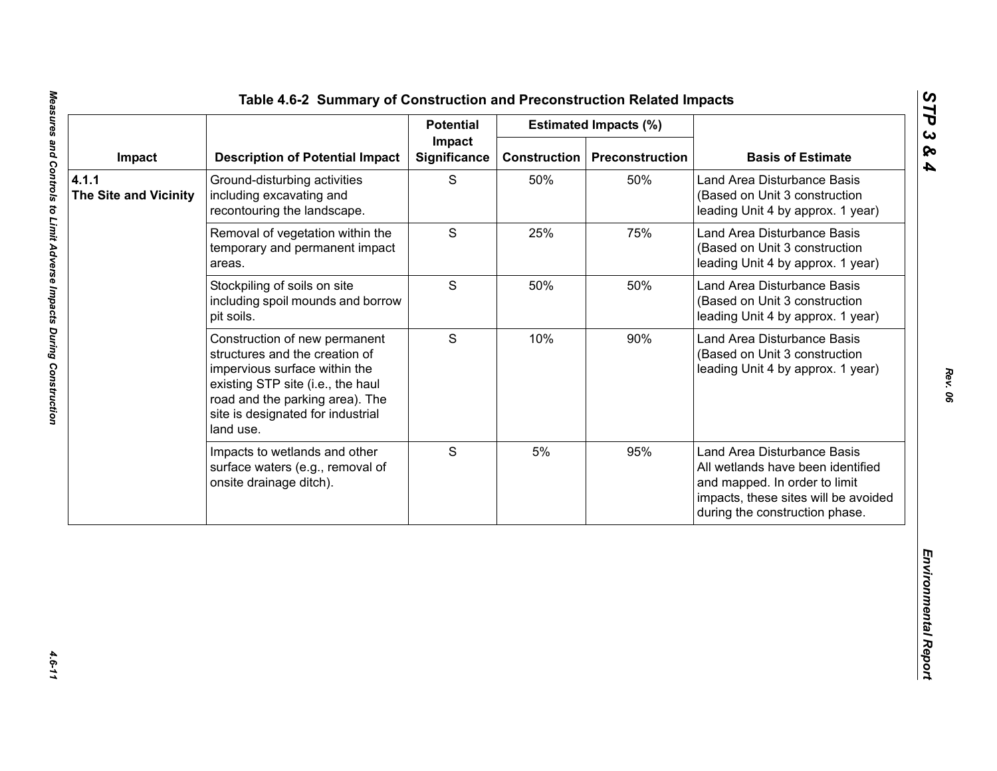|                                       |                                                                                                                                                                                                                            | <b>Potential</b>              |                     | <b>Estimated Impacts (%)</b> |                                                                                                                                                                             |
|---------------------------------------|----------------------------------------------------------------------------------------------------------------------------------------------------------------------------------------------------------------------------|-------------------------------|---------------------|------------------------------|-----------------------------------------------------------------------------------------------------------------------------------------------------------------------------|
| Impact                                | <b>Description of Potential Impact</b>                                                                                                                                                                                     | Impact<br><b>Significance</b> | <b>Construction</b> | <b>Preconstruction</b>       | <b>Basis of Estimate</b>                                                                                                                                                    |
| 4.1.1<br><b>The Site and Vicinity</b> | Ground-disturbing activities<br>including excavating and<br>recontouring the landscape.                                                                                                                                    | S                             | 50%                 | 50%                          | Land Area Disturbance Basis<br>(Based on Unit 3 construction<br>leading Unit 4 by approx. 1 year)                                                                           |
|                                       | Removal of vegetation within the<br>temporary and permanent impact<br>areas.                                                                                                                                               | S                             | 25%                 | 75%                          | Land Area Disturbance Basis<br>(Based on Unit 3 construction<br>leading Unit 4 by approx. 1 year)                                                                           |
|                                       | Stockpiling of soils on site<br>including spoil mounds and borrow<br>pit soils.                                                                                                                                            | S                             | 50%                 | 50%                          | Land Area Disturbance Basis<br>(Based on Unit 3 construction<br>leading Unit 4 by approx. 1 year)                                                                           |
|                                       | Construction of new permanent<br>structures and the creation of<br>impervious surface within the<br>existing STP site (i.e., the haul<br>road and the parking area). The<br>site is designated for industrial<br>land use. | S                             | 10%                 | 90%                          | Land Area Disturbance Basis<br>(Based on Unit 3 construction<br>leading Unit 4 by approx. 1 year)                                                                           |
|                                       | Impacts to wetlands and other<br>surface waters (e.g., removal of<br>onsite drainage ditch).                                                                                                                               | S                             | 5%                  | 95%                          | Land Area Disturbance Basis<br>All wetlands have been identified<br>and mapped. In order to limit<br>impacts, these sites will be avoided<br>during the construction phase. |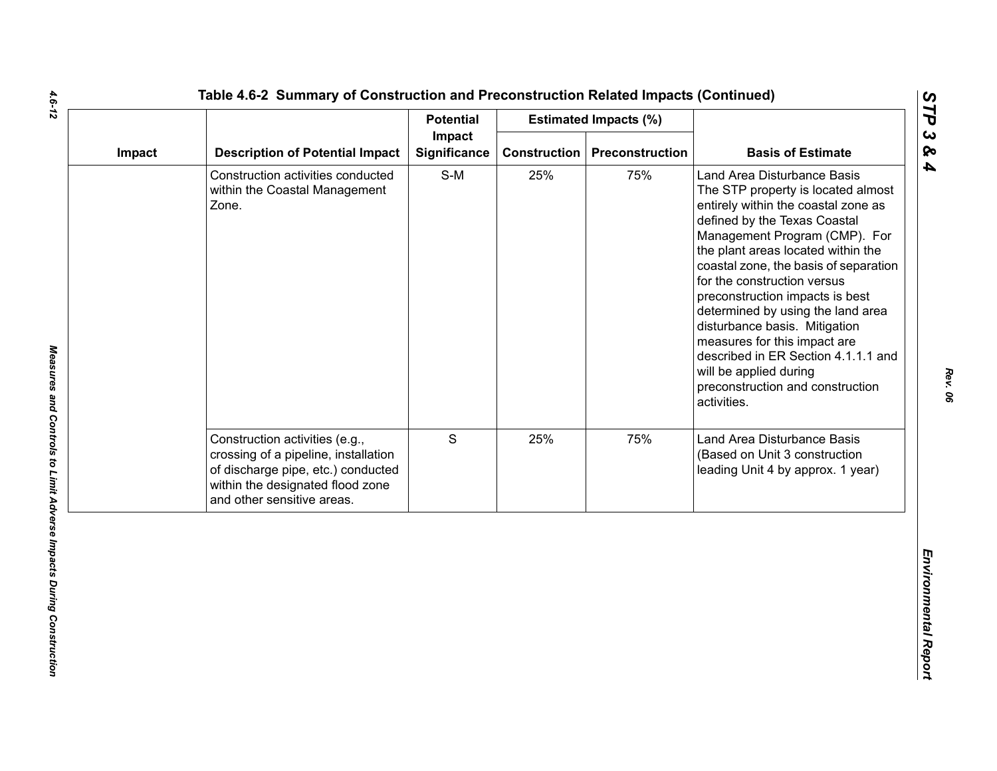|        |                                                                                                                                                                                | <b>Potential</b>              |                     | <b>Estimated Impacts (%)</b> |                                                                                                                                                                                                                                                                                                                                                                                                                                                                                                                                                      |
|--------|--------------------------------------------------------------------------------------------------------------------------------------------------------------------------------|-------------------------------|---------------------|------------------------------|------------------------------------------------------------------------------------------------------------------------------------------------------------------------------------------------------------------------------------------------------------------------------------------------------------------------------------------------------------------------------------------------------------------------------------------------------------------------------------------------------------------------------------------------------|
| Impact | <b>Description of Potential Impact</b>                                                                                                                                         | Impact<br><b>Significance</b> | <b>Construction</b> | Preconstruction              | <b>Basis of Estimate</b>                                                                                                                                                                                                                                                                                                                                                                                                                                                                                                                             |
|        | Construction activities conducted<br>within the Coastal Management<br>Zone.                                                                                                    | $S-M$                         | 25%                 | 75%                          | Land Area Disturbance Basis<br>The STP property is located almost<br>entirely within the coastal zone as<br>defined by the Texas Coastal<br>Management Program (CMP). For<br>the plant areas located within the<br>coastal zone, the basis of separation<br>for the construction versus<br>preconstruction impacts is best<br>determined by using the land area<br>disturbance basis. Mitigation<br>measures for this impact are<br>described in ER Section 4.1.1.1 and<br>will be applied during<br>preconstruction and construction<br>activities. |
|        | Construction activities (e.g.,<br>crossing of a pipeline, installation<br>of discharge pipe, etc.) conducted<br>within the designated flood zone<br>and other sensitive areas. | S                             | 25%                 | 75%                          | Land Area Disturbance Basis<br>(Based on Unit 3 construction<br>leading Unit 4 by approx. 1 year)                                                                                                                                                                                                                                                                                                                                                                                                                                                    |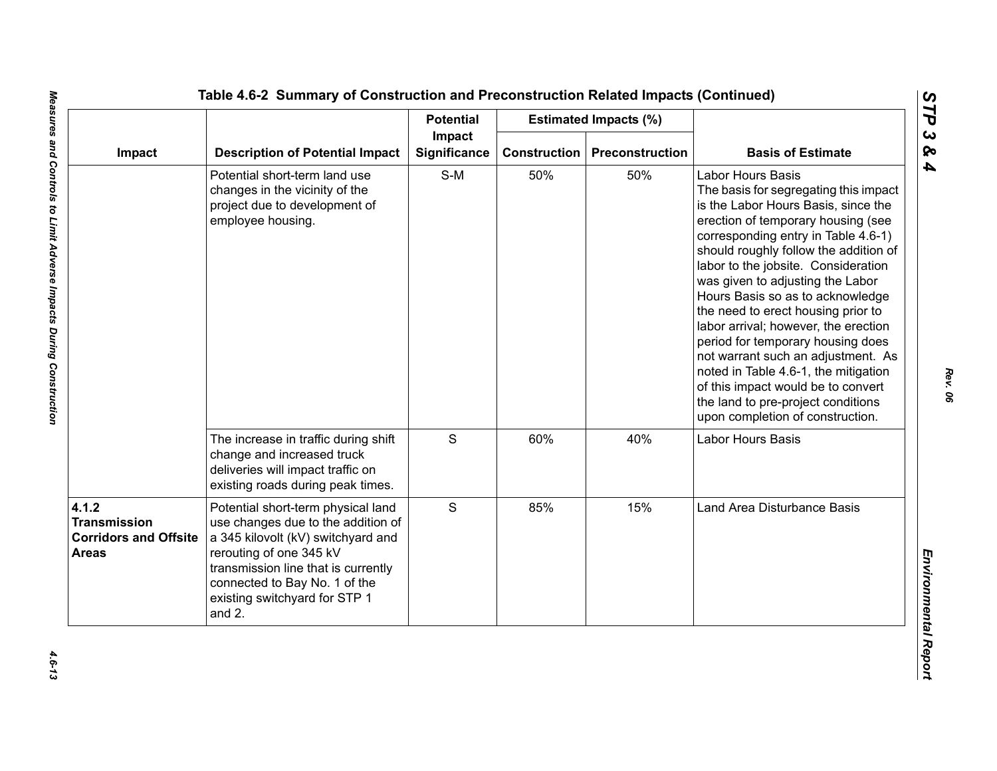|                                                                              |                                                                                                                                                                                                                                                              | <b>Potential</b>              |                     | <b>Estimated Impacts (%)</b> |                                                                                                                                                                                                                                                                                                                                                                                                                                                                                                                                                                                                                                                                |
|------------------------------------------------------------------------------|--------------------------------------------------------------------------------------------------------------------------------------------------------------------------------------------------------------------------------------------------------------|-------------------------------|---------------------|------------------------------|----------------------------------------------------------------------------------------------------------------------------------------------------------------------------------------------------------------------------------------------------------------------------------------------------------------------------------------------------------------------------------------------------------------------------------------------------------------------------------------------------------------------------------------------------------------------------------------------------------------------------------------------------------------|
| Impact                                                                       | <b>Description of Potential Impact</b>                                                                                                                                                                                                                       | Impact<br><b>Significance</b> | <b>Construction</b> | Preconstruction              | <b>Basis of Estimate</b>                                                                                                                                                                                                                                                                                                                                                                                                                                                                                                                                                                                                                                       |
|                                                                              | Potential short-term land use<br>changes in the vicinity of the<br>project due to development of<br>employee housing.                                                                                                                                        | $S-M$                         | 50%                 | 50%                          | <b>Labor Hours Basis</b><br>The basis for segregating this impact<br>is the Labor Hours Basis, since the<br>erection of temporary housing (see<br>corresponding entry in Table 4.6-1)<br>should roughly follow the addition of<br>labor to the jobsite. Consideration<br>was given to adjusting the Labor<br>Hours Basis so as to acknowledge<br>the need to erect housing prior to<br>labor arrival; however, the erection<br>period for temporary housing does<br>not warrant such an adjustment. As<br>noted in Table 4.6-1, the mitigation<br>of this impact would be to convert<br>the land to pre-project conditions<br>upon completion of construction. |
|                                                                              | The increase in traffic during shift<br>change and increased truck<br>deliveries will impact traffic on<br>existing roads during peak times.                                                                                                                 | $\mathsf S$                   | 60%                 | 40%                          | Labor Hours Basis                                                                                                                                                                                                                                                                                                                                                                                                                                                                                                                                                                                                                                              |
| 4.1.2<br><b>Transmission</b><br><b>Corridors and Offsite</b><br><b>Areas</b> | Potential short-term physical land<br>use changes due to the addition of<br>a 345 kilovolt (kV) switchyard and<br>rerouting of one 345 kV<br>transmission line that is currently<br>connected to Bay No. 1 of the<br>existing switchyard for STP 1<br>and 2. | S                             | 85%                 | 15%                          | Land Area Disturbance Basis                                                                                                                                                                                                                                                                                                                                                                                                                                                                                                                                                                                                                                    |

*STP 3 & 4*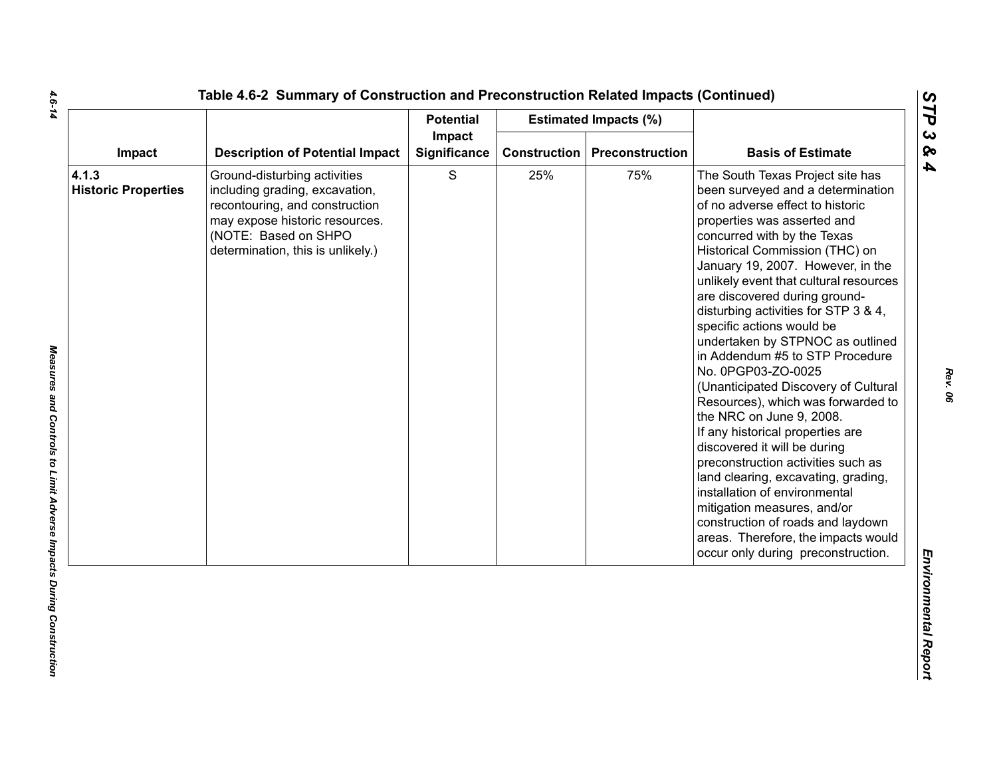|                                     |                                                                                                                                                                                                 | <b>Potential</b>       |              | <b>Estimated Impacts (%)</b> |                                                                                                                                                                                                                                                                                                                                                                                                                                                                                                                                                                                                                                                                                                                                                                                                                                                                                                                                          |
|-------------------------------------|-------------------------------------------------------------------------------------------------------------------------------------------------------------------------------------------------|------------------------|--------------|------------------------------|------------------------------------------------------------------------------------------------------------------------------------------------------------------------------------------------------------------------------------------------------------------------------------------------------------------------------------------------------------------------------------------------------------------------------------------------------------------------------------------------------------------------------------------------------------------------------------------------------------------------------------------------------------------------------------------------------------------------------------------------------------------------------------------------------------------------------------------------------------------------------------------------------------------------------------------|
| Impact                              | <b>Description of Potential Impact</b>                                                                                                                                                          | Impact<br>Significance | Construction | <b>Preconstruction</b>       | <b>Basis of Estimate</b>                                                                                                                                                                                                                                                                                                                                                                                                                                                                                                                                                                                                                                                                                                                                                                                                                                                                                                                 |
| 4.1.3<br><b>Historic Properties</b> | Ground-disturbing activities<br>including grading, excavation,<br>recontouring, and construction<br>may expose historic resources.<br>(NOTE: Based on SHPO<br>determination, this is unlikely.) | $\mathbf S$            | 25%          | 75%                          | The South Texas Project site has<br>been surveyed and a determination<br>of no adverse effect to historic<br>properties was asserted and<br>concurred with by the Texas<br>Historical Commission (THC) on<br>January 19, 2007. However, in the<br>unlikely event that cultural resources<br>are discovered during ground-<br>disturbing activities for STP 3 & 4,<br>specific actions would be<br>undertaken by STPNOC as outlined<br>in Addendum #5 to STP Procedure<br>No. 0PGP03-ZO-0025<br>(Unanticipated Discovery of Cultural<br>Resources), which was forwarded to<br>the NRC on June 9, 2008.<br>If any historical properties are<br>discovered it will be during<br>preconstruction activities such as<br>land clearing, excavating, grading,<br>installation of environmental<br>mitigation measures, and/or<br>construction of roads and laydown<br>areas. Therefore, the impacts would<br>occur only during preconstruction. |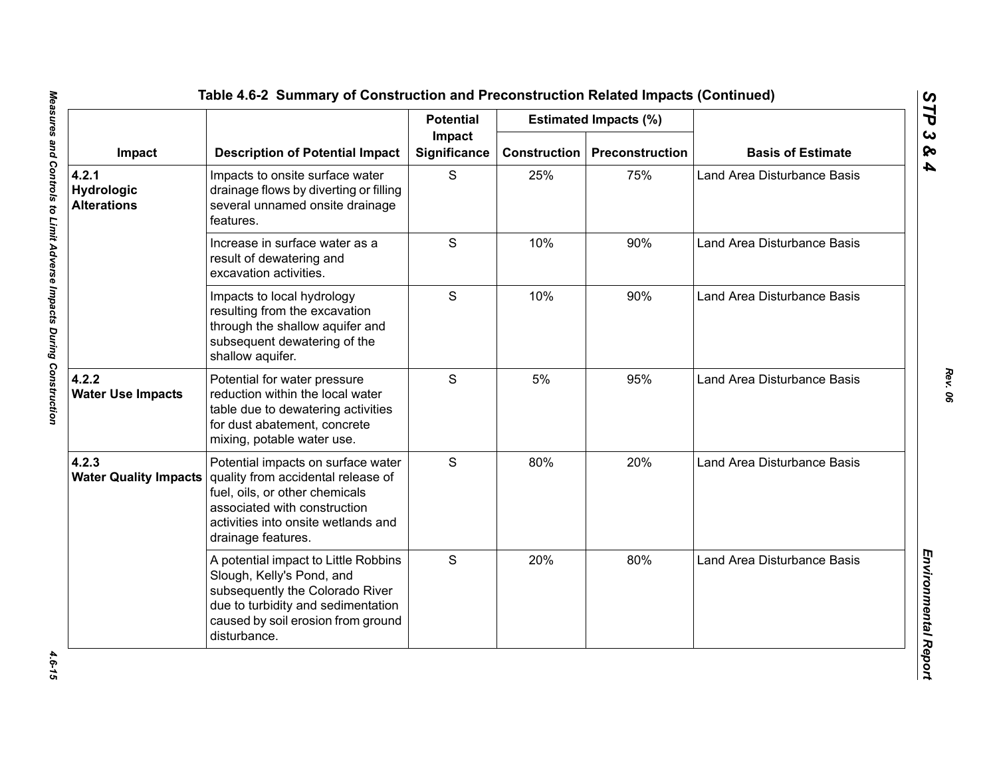|                                           | <b>Description of Potential Impact</b>                                                                                                                                                                  | <b>Potential</b><br>Impact<br><b>Significance</b> |                     | <b>Estimated Impacts (%)</b> | <b>Basis of Estimate</b>    |
|-------------------------------------------|---------------------------------------------------------------------------------------------------------------------------------------------------------------------------------------------------------|---------------------------------------------------|---------------------|------------------------------|-----------------------------|
| Impact                                    |                                                                                                                                                                                                         |                                                   | <b>Construction</b> | Preconstruction              |                             |
| 4.2.1<br>Hydrologic<br><b>Alterations</b> | Impacts to onsite surface water<br>drainage flows by diverting or filling<br>several unnamed onsite drainage<br>features.                                                                               | S                                                 | 25%                 | 75%                          | Land Area Disturbance Basis |
|                                           | Increase in surface water as a<br>result of dewatering and<br>excavation activities.                                                                                                                    | S                                                 | 10%                 | 90%                          | Land Area Disturbance Basis |
|                                           | Impacts to local hydrology<br>resulting from the excavation<br>through the shallow aquifer and<br>subsequent dewatering of the<br>shallow aquifer.                                                      | S                                                 | 10%                 | 90%                          | Land Area Disturbance Basis |
| 4.2.2<br><b>Water Use Impacts</b>         | Potential for water pressure<br>reduction within the local water<br>table due to dewatering activities<br>for dust abatement, concrete<br>mixing, potable water use.                                    | S                                                 | 5%                  | 95%                          | Land Area Disturbance Basis |
| 4.2.3<br><b>Water Quality Impacts</b>     | Potential impacts on surface water<br>quality from accidental release of<br>fuel, oils, or other chemicals<br>associated with construction<br>activities into onsite wetlands and<br>drainage features. | S                                                 | 80%                 | 20%                          | Land Area Disturbance Basis |
|                                           | A potential impact to Little Robbins<br>Slough, Kelly's Pond, and<br>subsequently the Colorado River<br>due to turbidity and sedimentation<br>caused by soil erosion from ground<br>disturbance.        | S                                                 | 20%                 | 80%                          | Land Area Disturbance Basis |

4.6-15

*Rev. 06*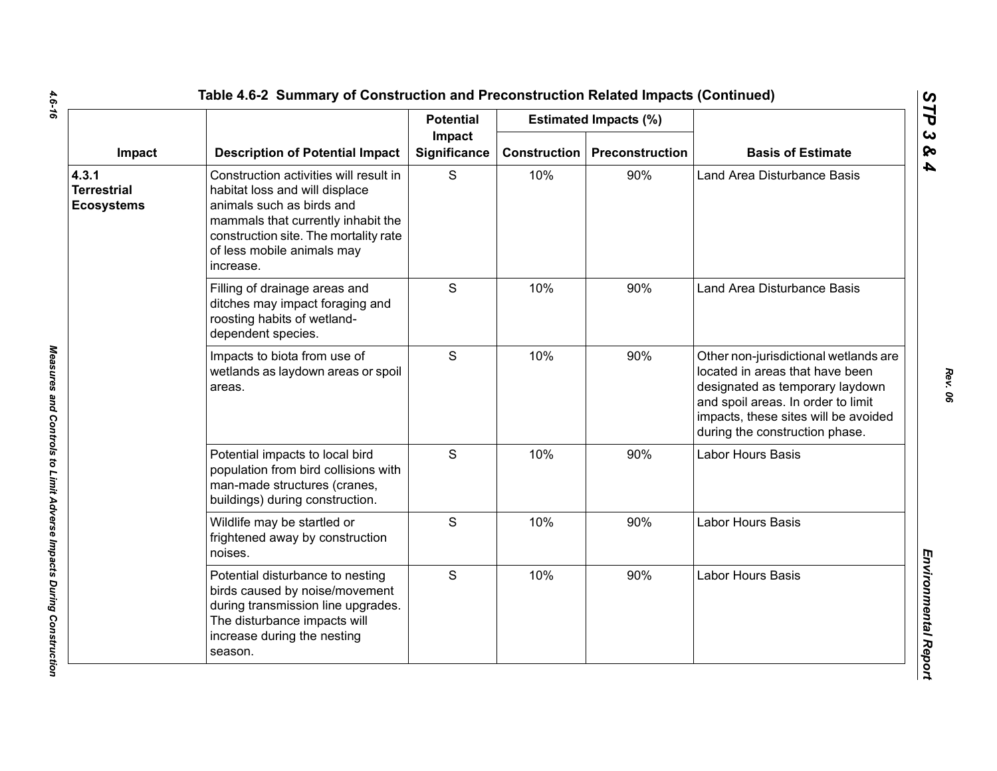|                                                  |                                                                                                                                                                                                                                 | <b>Potential</b>       |                     | <b>Estimated Impacts (%)</b> |                                                                                                                                                                                                                             |
|--------------------------------------------------|---------------------------------------------------------------------------------------------------------------------------------------------------------------------------------------------------------------------------------|------------------------|---------------------|------------------------------|-----------------------------------------------------------------------------------------------------------------------------------------------------------------------------------------------------------------------------|
| Impact                                           | <b>Description of Potential Impact</b>                                                                                                                                                                                          | Impact<br>Significance | <b>Construction</b> | Preconstruction              | <b>Basis of Estimate</b>                                                                                                                                                                                                    |
| 4.3.1<br><b>Terrestrial</b><br><b>Ecosystems</b> | Construction activities will result in<br>habitat loss and will displace<br>animals such as birds and<br>mammals that currently inhabit the<br>construction site. The mortality rate<br>of less mobile animals may<br>increase. | S                      | 10%                 | 90%                          | Land Area Disturbance Basis                                                                                                                                                                                                 |
|                                                  | Filling of drainage areas and<br>ditches may impact foraging and<br>roosting habits of wetland-<br>dependent species.                                                                                                           | S                      | 10%                 | 90%                          | Land Area Disturbance Basis                                                                                                                                                                                                 |
|                                                  | Impacts to biota from use of<br>wetlands as laydown areas or spoil<br>areas.                                                                                                                                                    | S                      | 10%                 | 90%                          | Other non-jurisdictional wetlands are<br>located in areas that have been<br>designated as temporary laydown<br>and spoil areas. In order to limit<br>impacts, these sites will be avoided<br>during the construction phase. |
|                                                  | Potential impacts to local bird<br>population from bird collisions with<br>man-made structures (cranes,<br>buildings) during construction.                                                                                      | S                      | 10%                 | 90%                          | Labor Hours Basis                                                                                                                                                                                                           |
|                                                  | Wildlife may be startled or<br>frightened away by construction<br>noises.                                                                                                                                                       | $\mathsf{S}$           | 10%                 | 90%                          | Labor Hours Basis                                                                                                                                                                                                           |
|                                                  | Potential disturbance to nesting<br>birds caused by noise/movement<br>during transmission line upgrades.<br>The disturbance impacts will<br>increase during the nesting<br>season.                                              | $\mathsf{S}$           | 10%                 | 90%                          | <b>Labor Hours Basis</b>                                                                                                                                                                                                    |

 $\mathbf{r}$ 

*Rev. 06*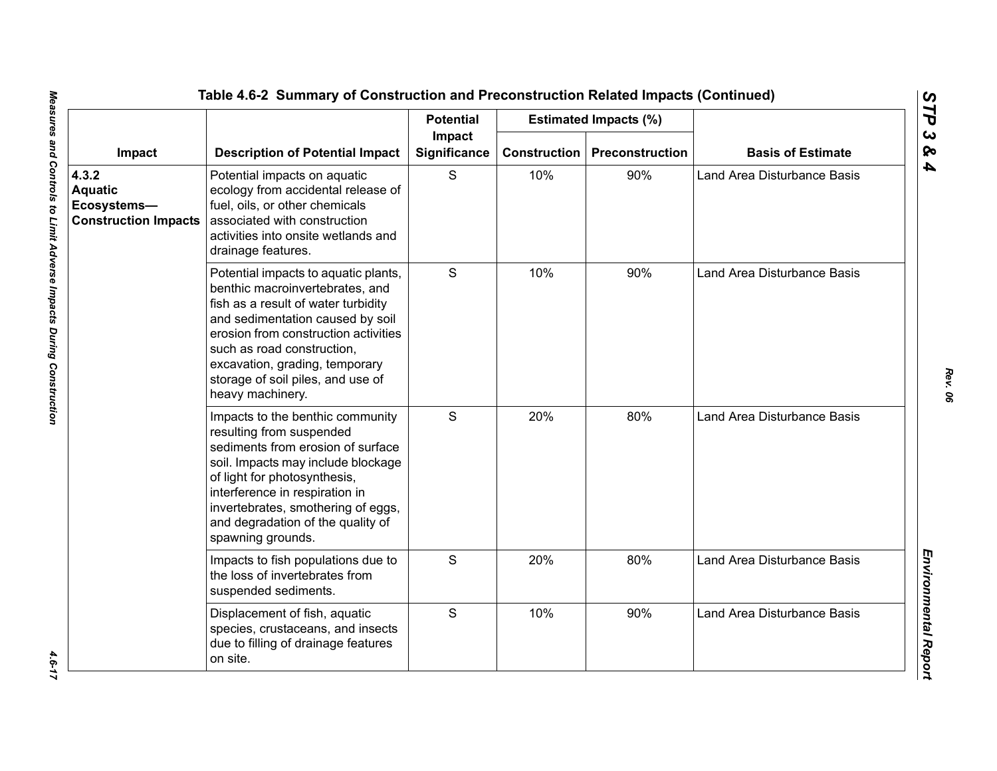|                                                                       |                                                                                                                                                                                                                                                                                                                     | <b>Potential</b>       |                     | <b>Estimated Impacts (%)</b> |                                    |
|-----------------------------------------------------------------------|---------------------------------------------------------------------------------------------------------------------------------------------------------------------------------------------------------------------------------------------------------------------------------------------------------------------|------------------------|---------------------|------------------------------|------------------------------------|
| Impact                                                                | <b>Description of Potential Impact</b>                                                                                                                                                                                                                                                                              | Impact<br>Significance | <b>Construction</b> | Preconstruction              | <b>Basis of Estimate</b>           |
| 4.3.2<br><b>Aquatic</b><br>Ecosystems-<br><b>Construction Impacts</b> | Potential impacts on aquatic<br>ecology from accidental release of<br>fuel, oils, or other chemicals<br>associated with construction<br>activities into onsite wetlands and<br>drainage features.                                                                                                                   | S                      | 10%                 | 90%                          | <b>Land Area Disturbance Basis</b> |
|                                                                       | Potential impacts to aquatic plants,<br>benthic macroinvertebrates, and<br>fish as a result of water turbidity<br>and sedimentation caused by soil<br>erosion from construction activities<br>such as road construction,<br>excavation, grading, temporary<br>storage of soil piles, and use of<br>heavy machinery. | S                      | 10%                 | 90%                          | Land Area Disturbance Basis        |
|                                                                       | Impacts to the benthic community<br>resulting from suspended<br>sediments from erosion of surface<br>soil. Impacts may include blockage<br>of light for photosynthesis,<br>interference in respiration in<br>invertebrates, smothering of eggs,<br>and degradation of the quality of<br>spawning grounds.           | S                      | 20%                 | 80%                          | <b>Land Area Disturbance Basis</b> |
|                                                                       | Impacts to fish populations due to<br>the loss of invertebrates from<br>suspended sediments.                                                                                                                                                                                                                        | S                      | 20%                 | 80%                          | <b>Land Area Disturbance Basis</b> |
|                                                                       | Displacement of fish, aquatic<br>species, crustaceans, and insects<br>due to filling of drainage features<br>on site.                                                                                                                                                                                               | S                      | 10%                 | 90%                          | Land Area Disturbance Basis        |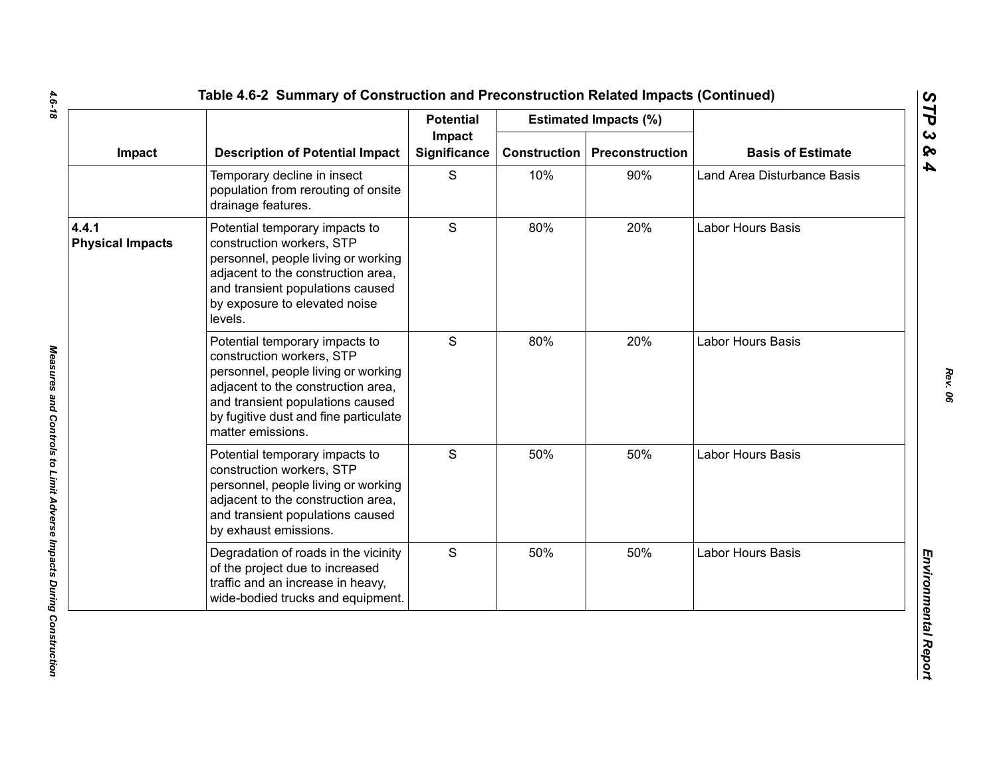|                                  |                                                                                                                                                                                                                                            | <b>Potential</b>              |                     | <b>Estimated Impacts (%)</b> |                             |
|----------------------------------|--------------------------------------------------------------------------------------------------------------------------------------------------------------------------------------------------------------------------------------------|-------------------------------|---------------------|------------------------------|-----------------------------|
| Impact                           | <b>Description of Potential Impact</b>                                                                                                                                                                                                     | Impact<br><b>Significance</b> | <b>Construction</b> | Preconstruction              | <b>Basis of Estimate</b>    |
|                                  | Temporary decline in insect<br>population from rerouting of onsite<br>drainage features.                                                                                                                                                   | S                             | 10%                 | 90%                          | Land Area Disturbance Basis |
| 4.4.1<br><b>Physical Impacts</b> | Potential temporary impacts to<br>construction workers, STP<br>personnel, people living or working<br>adjacent to the construction area,<br>and transient populations caused<br>by exposure to elevated noise<br>levels.                   | S                             | 80%                 | 20%                          | Labor Hours Basis           |
|                                  | Potential temporary impacts to<br>construction workers, STP<br>personnel, people living or working<br>adjacent to the construction area,<br>and transient populations caused<br>by fugitive dust and fine particulate<br>matter emissions. | S                             | 80%                 | 20%                          | Labor Hours Basis           |
|                                  | Potential temporary impacts to<br>construction workers, STP<br>personnel, people living or working<br>adjacent to the construction area,<br>and transient populations caused<br>by exhaust emissions.                                      | S                             | 50%                 | 50%                          | Labor Hours Basis           |
|                                  | Degradation of roads in the vicinity<br>of the project due to increased<br>traffic and an increase in heavy,<br>wide-bodied trucks and equipment.                                                                                          | S                             | 50%                 | 50%                          | Labor Hours Basis           |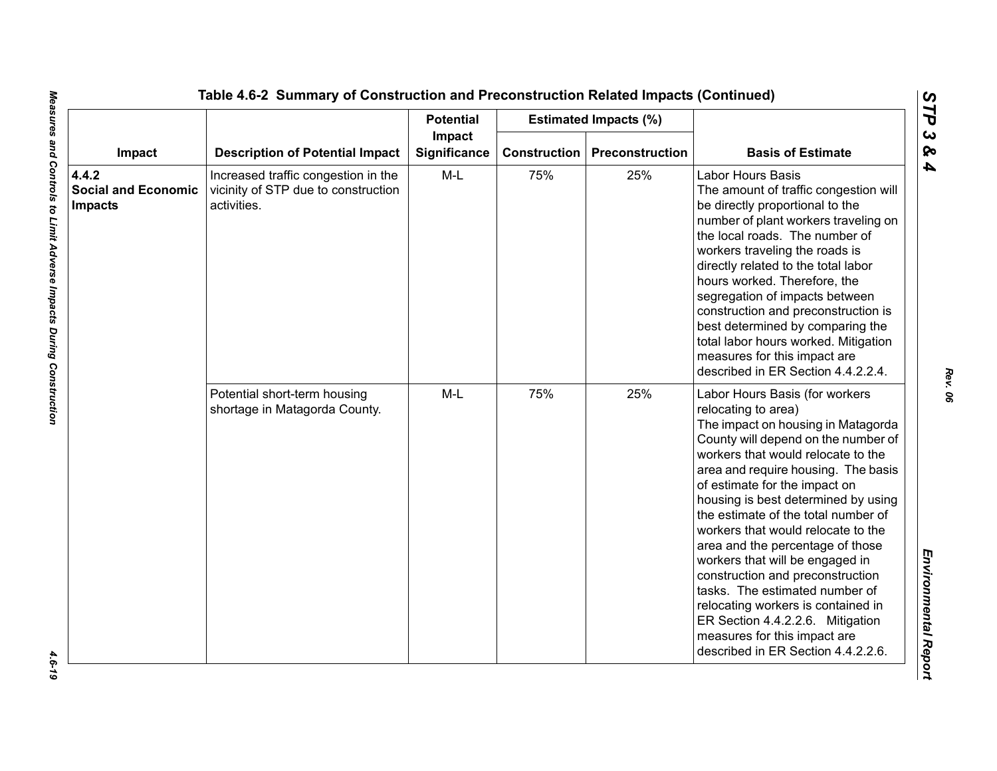|                                                       |                                                                                           | <b>Potential</b>              |                     | <b>Estimated Impacts (%)</b> |                                                                                                                                                                                                                                                                                                                                                                                                                                                                                                                                                                                                                                                                   |
|-------------------------------------------------------|-------------------------------------------------------------------------------------------|-------------------------------|---------------------|------------------------------|-------------------------------------------------------------------------------------------------------------------------------------------------------------------------------------------------------------------------------------------------------------------------------------------------------------------------------------------------------------------------------------------------------------------------------------------------------------------------------------------------------------------------------------------------------------------------------------------------------------------------------------------------------------------|
| Impact                                                | <b>Description of Potential Impact</b>                                                    | Impact<br><b>Significance</b> | <b>Construction</b> | Preconstruction              | <b>Basis of Estimate</b>                                                                                                                                                                                                                                                                                                                                                                                                                                                                                                                                                                                                                                          |
| 4.4.2<br><b>Social and Economic</b><br><b>Impacts</b> | Increased traffic congestion in the<br>vicinity of STP due to construction<br>activities. | $M-L$                         | 75%                 | 25%                          | Labor Hours Basis<br>The amount of traffic congestion will<br>be directly proportional to the<br>number of plant workers traveling on<br>the local roads. The number of<br>workers traveling the roads is<br>directly related to the total labor<br>hours worked. Therefore, the<br>segregation of impacts between<br>construction and preconstruction is<br>best determined by comparing the<br>total labor hours worked. Mitigation<br>measures for this impact are<br>described in ER Section 4.4.2.2.4.                                                                                                                                                       |
|                                                       | Potential short-term housing<br>shortage in Matagorda County.                             | $M-L$                         | 75%                 | 25%                          | Labor Hours Basis (for workers<br>relocating to area)<br>The impact on housing in Matagorda<br>County will depend on the number of<br>workers that would relocate to the<br>area and require housing. The basis<br>of estimate for the impact on<br>housing is best determined by using<br>the estimate of the total number of<br>workers that would relocate to the<br>area and the percentage of those<br>workers that will be engaged in<br>construction and preconstruction<br>tasks. The estimated number of<br>relocating workers is contained in<br>ER Section 4.4.2.2.6. Mitigation<br>measures for this impact are<br>described in ER Section 4.4.2.2.6. |

 $-4.6 - 19$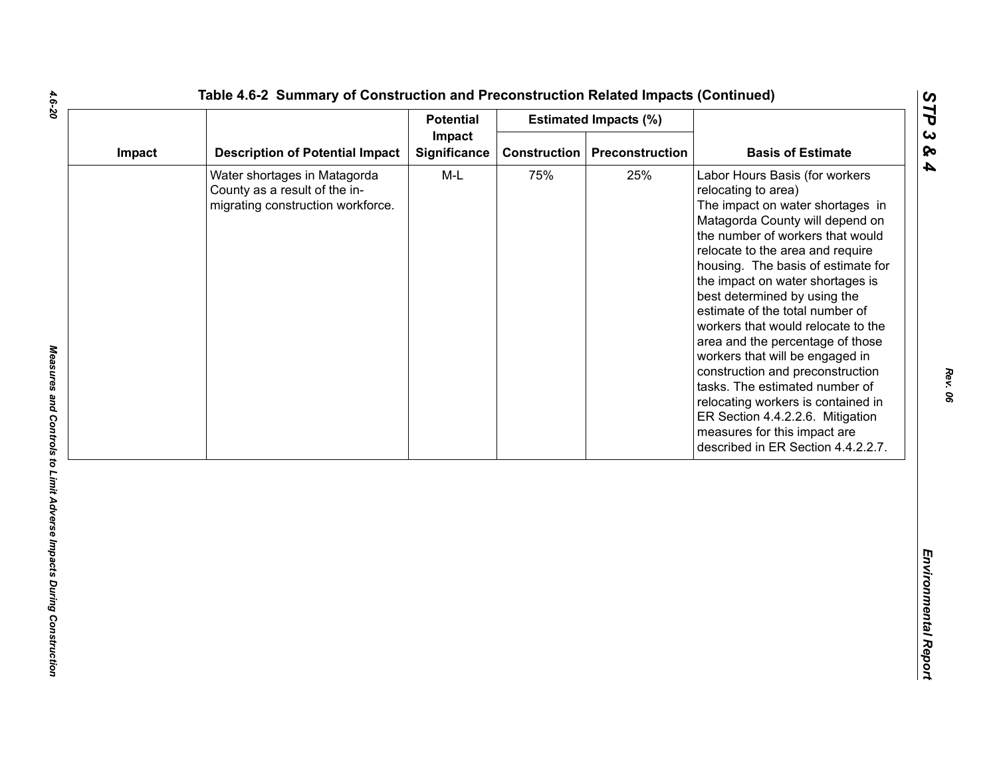| Impact |                                                                                                    | <b>Potential</b>       |                     | <b>Estimated Impacts (%)</b> |                                                                                                                                                                                                                                                                                                                                                                                                                                                                                                                                                                                                                                                                                      |
|--------|----------------------------------------------------------------------------------------------------|------------------------|---------------------|------------------------------|--------------------------------------------------------------------------------------------------------------------------------------------------------------------------------------------------------------------------------------------------------------------------------------------------------------------------------------------------------------------------------------------------------------------------------------------------------------------------------------------------------------------------------------------------------------------------------------------------------------------------------------------------------------------------------------|
|        | <b>Description of Potential Impact</b>                                                             | Impact<br>Significance | <b>Construction</b> | Preconstruction              | <b>Basis of Estimate</b>                                                                                                                                                                                                                                                                                                                                                                                                                                                                                                                                                                                                                                                             |
|        | Water shortages in Matagorda<br>County as a result of the in-<br>migrating construction workforce. | $M-L$                  | 75%                 | 25%                          | Labor Hours Basis (for workers<br>relocating to area)<br>The impact on water shortages in<br>Matagorda County will depend on<br>the number of workers that would<br>relocate to the area and require<br>housing. The basis of estimate for<br>the impact on water shortages is<br>best determined by using the<br>estimate of the total number of<br>workers that would relocate to the<br>area and the percentage of those<br>workers that will be engaged in<br>construction and preconstruction<br>tasks. The estimated number of<br>relocating workers is contained in<br>ER Section 4.4.2.2.6. Mitigation<br>measures for this impact are<br>described in ER Section 4.4.2.2.7. |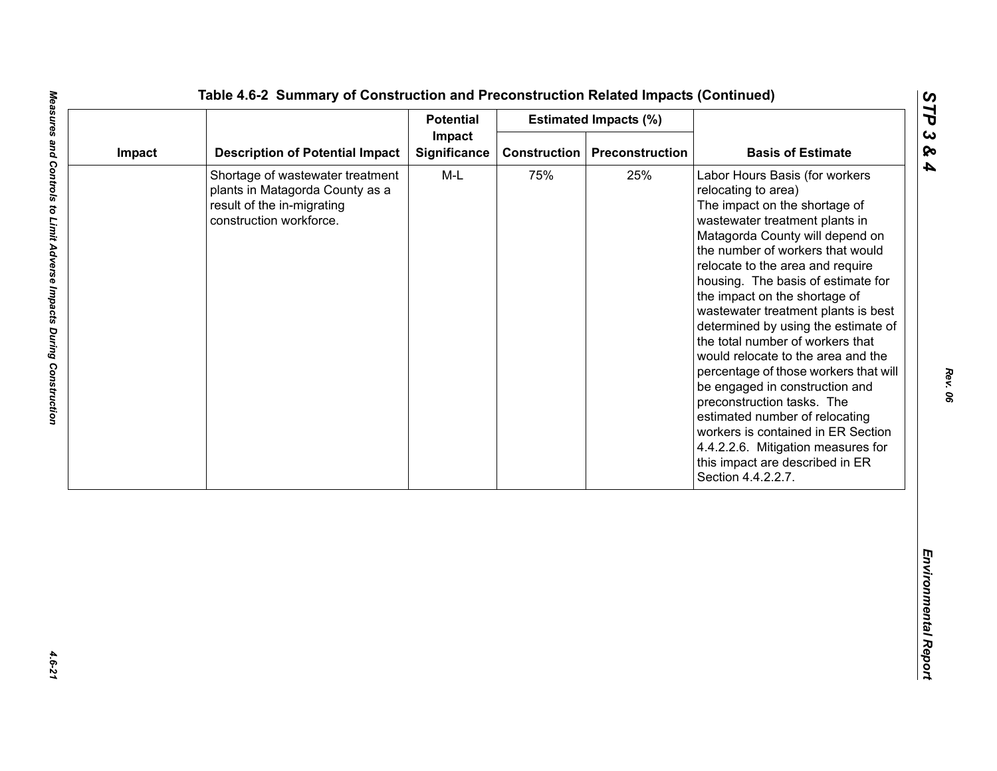| Impact<br><b>Description of Potential Impact</b><br>Significance<br><b>Construction</b><br>Preconstruction<br>Impact<br>$M-L$<br>75%<br>25%<br>Shortage of wastewater treatment<br>plants in Matagorda County as a<br>result of the in-migrating<br>construction workforce. | <b>Basis of Estimate</b><br>Labor Hours Basis (for workers<br>relocating to area)<br>The impact on the shortage of<br>wastewater treatment plants in<br>Matagorda County will depend on<br>the number of workers that would<br>relocate to the area and require                                                                                                                                                                                                                                             |
|-----------------------------------------------------------------------------------------------------------------------------------------------------------------------------------------------------------------------------------------------------------------------------|-------------------------------------------------------------------------------------------------------------------------------------------------------------------------------------------------------------------------------------------------------------------------------------------------------------------------------------------------------------------------------------------------------------------------------------------------------------------------------------------------------------|
|                                                                                                                                                                                                                                                                             |                                                                                                                                                                                                                                                                                                                                                                                                                                                                                                             |
|                                                                                                                                                                                                                                                                             | housing. The basis of estimate for<br>the impact on the shortage of<br>wastewater treatment plants is best<br>determined by using the estimate of<br>the total number of workers that<br>would relocate to the area and the<br>percentage of those workers that will<br>be engaged in construction and<br>preconstruction tasks. The<br>estimated number of relocating<br>workers is contained in ER Section<br>4.4.2.2.6. Mitigation measures for<br>this impact are described in ER<br>Section 4.4.2.2.7. |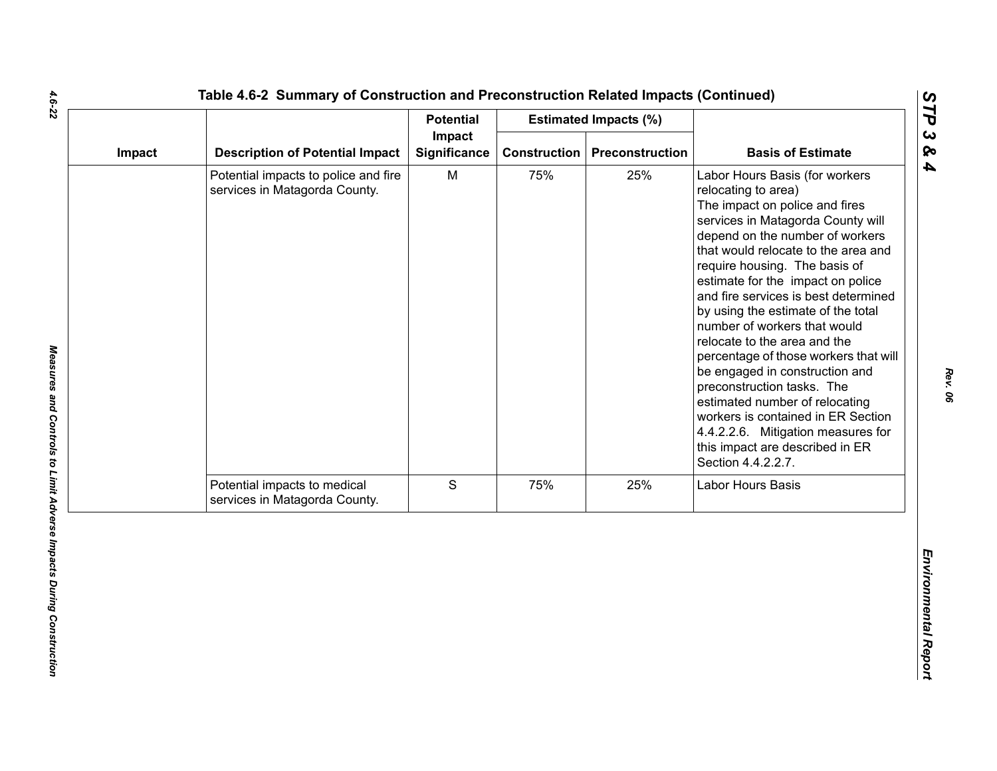|                                                                       | <b>Potential</b>    |        |     |                                                                                                                                                                                                                                                                                                                                                                                                                                                                                                                                                                                                                                                                                                            |
|-----------------------------------------------------------------------|---------------------|--------|-----|------------------------------------------------------------------------------------------------------------------------------------------------------------------------------------------------------------------------------------------------------------------------------------------------------------------------------------------------------------------------------------------------------------------------------------------------------------------------------------------------------------------------------------------------------------------------------------------------------------------------------------------------------------------------------------------------------------|
| <b>Description of Potential Impact</b>                                | <b>Significance</b> |        |     | <b>Basis of Estimate</b>                                                                                                                                                                                                                                                                                                                                                                                                                                                                                                                                                                                                                                                                                   |
| Potential impacts to police and fire<br>services in Matagorda County. | M                   | 75%    | 25% | Labor Hours Basis (for workers<br>relocating to area)<br>The impact on police and fires<br>services in Matagorda County will<br>depend on the number of workers<br>that would relocate to the area and<br>require housing. The basis of<br>estimate for the impact on police<br>and fire services is best determined<br>by using the estimate of the total<br>number of workers that would<br>relocate to the area and the<br>percentage of those workers that will<br>be engaged in construction and<br>preconstruction tasks. The<br>estimated number of relocating<br>workers is contained in ER Section<br>4.4.2.2.6. Mitigation measures for<br>this impact are described in ER<br>Section 4.4.2.2.7. |
| Potential impacts to medical<br>services in Matagorda County.         | S                   | 75%    | 25% | Labor Hours Basis                                                                                                                                                                                                                                                                                                                                                                                                                                                                                                                                                                                                                                                                                          |
|                                                                       |                     |        |     |                                                                                                                                                                                                                                                                                                                                                                                                                                                                                                                                                                                                                                                                                                            |
|                                                                       |                     | Impact |     | <b>Estimated Impacts (%)</b><br><b>Construction</b><br>Preconstruction                                                                                                                                                                                                                                                                                                                                                                                                                                                                                                                                                                                                                                     |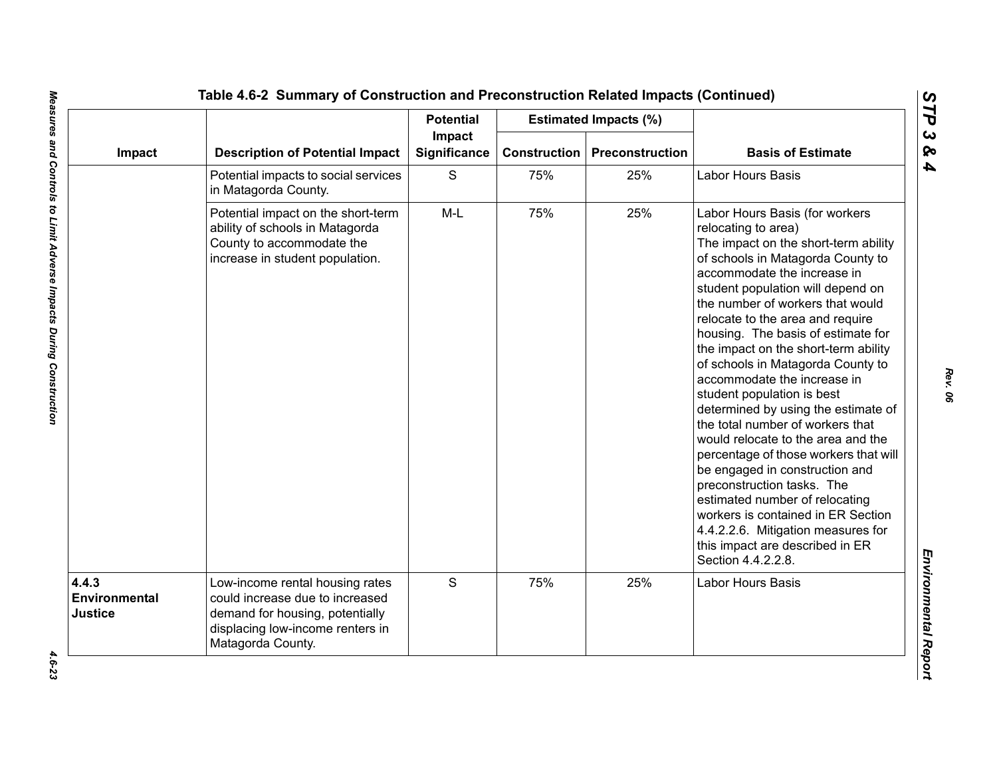|                                   |                                                                                                                                                                | <b>Potential</b>       |                     | <b>Estimated Impacts (%)</b> |                                                                                                                                                                                                                                                                                                                                                                                                                                                                                                                                                                                                                                                                                                                                                                                                                                                                 |
|-----------------------------------|----------------------------------------------------------------------------------------------------------------------------------------------------------------|------------------------|---------------------|------------------------------|-----------------------------------------------------------------------------------------------------------------------------------------------------------------------------------------------------------------------------------------------------------------------------------------------------------------------------------------------------------------------------------------------------------------------------------------------------------------------------------------------------------------------------------------------------------------------------------------------------------------------------------------------------------------------------------------------------------------------------------------------------------------------------------------------------------------------------------------------------------------|
| Impact                            | <b>Description of Potential Impact</b>                                                                                                                         | Impact<br>Significance | <b>Construction</b> | <b>Preconstruction</b>       | <b>Basis of Estimate</b>                                                                                                                                                                                                                                                                                                                                                                                                                                                                                                                                                                                                                                                                                                                                                                                                                                        |
|                                   | Potential impacts to social services<br>in Matagorda County.                                                                                                   | S                      | 75%                 | 25%                          | Labor Hours Basis                                                                                                                                                                                                                                                                                                                                                                                                                                                                                                                                                                                                                                                                                                                                                                                                                                               |
|                                   | Potential impact on the short-term<br>ability of schools in Matagorda<br>County to accommodate the<br>increase in student population.                          | $M-L$                  | 75%                 | 25%                          | Labor Hours Basis (for workers<br>relocating to area)<br>The impact on the short-term ability<br>of schools in Matagorda County to<br>accommodate the increase in<br>student population will depend on<br>the number of workers that would<br>relocate to the area and require<br>housing. The basis of estimate for<br>the impact on the short-term ability<br>of schools in Matagorda County to<br>accommodate the increase in<br>student population is best<br>determined by using the estimate of<br>the total number of workers that<br>would relocate to the area and the<br>percentage of those workers that will<br>be engaged in construction and<br>preconstruction tasks. The<br>estimated number of relocating<br>workers is contained in ER Section<br>4.4.2.2.6. Mitigation measures for<br>this impact are described in ER<br>Section 4.4.2.2.8. |
| 4.4.3<br>Environmental<br>Justice | Low-income rental housing rates<br>could increase due to increased<br>demand for housing, potentially<br>displacing low-income renters in<br>Matagorda County. | S                      | 75%                 | 25%                          | Labor Hours Basis                                                                                                                                                                                                                                                                                                                                                                                                                                                                                                                                                                                                                                                                                                                                                                                                                                               |

*STP 3 & 4*